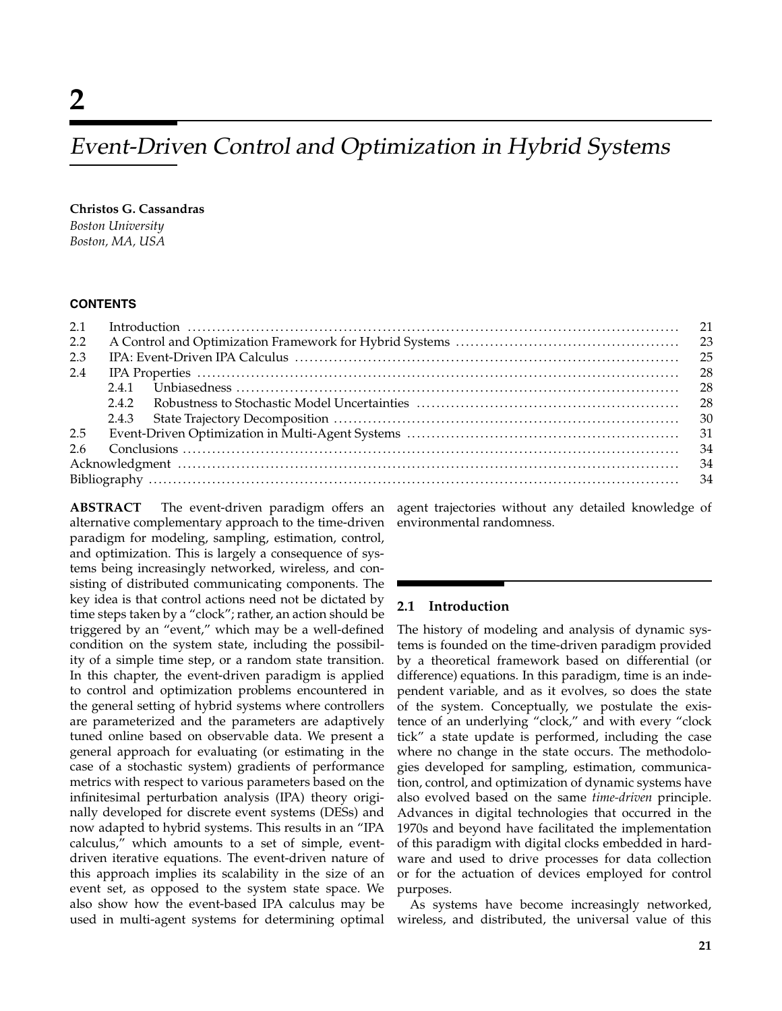**2**

# Event-Driven Control and Optimization in Hybrid Systems

# **Christos G. Cassandras**

*Boston University Boston, MA, USA*

# **CONTENTS**

| 2.1           |  |  |  |  |
|---------------|--|--|--|--|
| $2.2^{\circ}$ |  |  |  |  |
| 2.3           |  |  |  |  |
| $2.4^{\circ}$ |  |  |  |  |
|               |  |  |  |  |
|               |  |  |  |  |
|               |  |  |  |  |
| 2.5           |  |  |  |  |
| 2.6           |  |  |  |  |
|               |  |  |  |  |
|               |  |  |  |  |

**ABSTRACT** The event-driven paradigm offers an alternative complementary approach to the time-driven paradigm for modeling, sampling, estimation, control, and optimization. This is largely a consequence of systems being increasingly networked, wireless, and consisting of distributed communicating components. The key idea is that control actions need not be dictated by time steps taken by a "clock"; rather, an action should be triggered by an "event," which may be a well-defined condition on the system state, including the possibility of a simple time step, or a random state transition. In this chapter, the event-driven paradigm is applied to control and optimization problems encountered in the general setting of hybrid systems where controllers are parameterized and the parameters are adaptively tuned online based on observable data. We present a general approach for evaluating (or estimating in the case of a stochastic system) gradients of performance metrics with respect to various parameters based on the infinitesimal perturbation analysis (IPA) theory originally developed for discrete event systems (DESs) and now adapted to hybrid systems. This results in an "IPA calculus," which amounts to a set of simple, eventdriven iterative equations. The event-driven nature of this approach implies its scalability in the size of an event set, as opposed to the system state space. We also show how the event-based IPA calculus may be used in multi-agent systems for determining optimal agent trajectories without any detailed knowledge of environmental randomness.

# **2.1 Introduction**

The history of modeling and analysis of dynamic systems is founded on the time-driven paradigm provided by a theoretical framework based on differential (or difference) equations. In this paradigm, time is an independent variable, and as it evolves, so does the state of the system. Conceptually, we postulate the existence of an underlying "clock," and with every "clock tick" a state update is performed, including the case where no change in the state occurs. The methodologies developed for sampling, estimation, communication, control, and optimization of dynamic systems have also evolved based on the same *time-driven* principle. Advances in digital technologies that occurred in the 1970s and beyond have facilitated the implementation of this paradigm with digital clocks embedded in hardware and used to drive processes for data collection or for the actuation of devices employed for control purposes.

As systems have become increasingly networked, wireless, and distributed, the universal value of this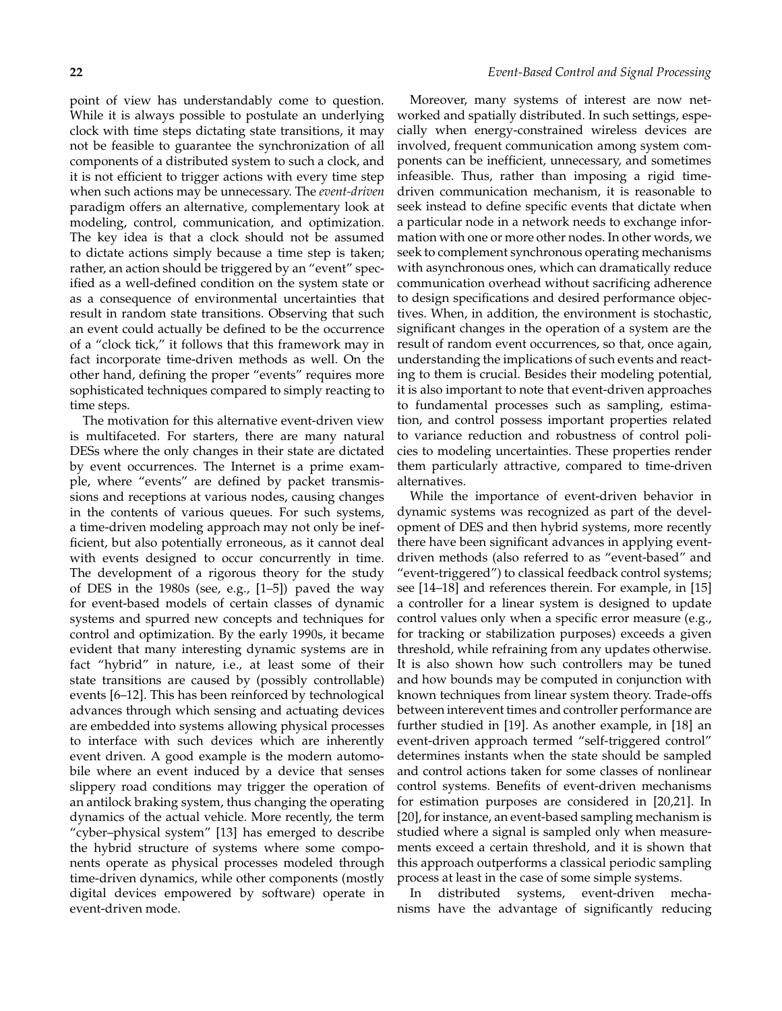point of view has understandably come to question. While it is always possible to postulate an underlying clock with time steps dictating state transitions, it may not be feasible to guarantee the synchronization of all components of a distributed system to such a clock, and it is not efficient to trigger actions with every time step when such actions may be unnecessary. The *event-driven* paradigm offers an alternative, complementary look at modeling, control, communication, and optimization. The key idea is that a clock should not be assumed to dictate actions simply because a time step is taken; rather, an action should be triggered by an "event" specified as a well-defined condition on the system state or as a consequence of environmental uncertainties that result in random state transitions. Observing that such an event could actually be defined to be the occurrence of a "clock tick," it follows that this framework may in fact incorporate time-driven methods as well. On the other hand, defining the proper "events" requires more sophisticated techniques compared to simply reacting to time steps.

The motivation for this alternative event-driven view is multifaceted. For starters, there are many natural DESs where the only changes in their state are dictated by event occurrences. The Internet is a prime example, where "events" are defined by packet transmissions and receptions at various nodes, causing changes in the contents of various queues. For such systems, a time-driven modeling approach may not only be inefficient, but also potentially erroneous, as it cannot deal with events designed to occur concurrently in time. The development of a rigorous theory for the study of DES in the 1980s (see, e.g., [1–5]) paved the way for event-based models of certain classes of dynamic systems and spurred new concepts and techniques for control and optimization. By the early 1990s, it became evident that many interesting dynamic systems are in fact "hybrid" in nature, i.e., at least some of their state transitions are caused by (possibly controllable) events [6–12]. This has been reinforced by technological advances through which sensing and actuating devices are embedded into systems allowing physical processes to interface with such devices which are inherently event driven. A good example is the modern automobile where an event induced by a device that senses slippery road conditions may trigger the operation of an antilock braking system, thus changing the operating dynamics of the actual vehicle. More recently, the term "cyber–physical system" [13] has emerged to describe the hybrid structure of systems where some components operate as physical processes modeled through time-driven dynamics, while other components (mostly digital devices empowered by software) operate in event-driven mode.

Moreover, many systems of interest are now networked and spatially distributed. In such settings, especially when energy-constrained wireless devices are involved, frequent communication among system components can be inefficient, unnecessary, and sometimes infeasible. Thus, rather than imposing a rigid timedriven communication mechanism, it is reasonable to seek instead to define specific events that dictate when a particular node in a network needs to exchange information with one or more other nodes. In other words, we seek to complement synchronous operating mechanisms with asynchronous ones, which can dramatically reduce communication overhead without sacrificing adherence to design specifications and desired performance objectives. When, in addition, the environment is stochastic, significant changes in the operation of a system are the result of random event occurrences, so that, once again, understanding the implications of such events and reacting to them is crucial. Besides their modeling potential, it is also important to note that event-driven approaches to fundamental processes such as sampling, estimation, and control possess important properties related to variance reduction and robustness of control policies to modeling uncertainties. These properties render them particularly attractive, compared to time-driven alternatives.

While the importance of event-driven behavior in dynamic systems was recognized as part of the development of DES and then hybrid systems, more recently there have been significant advances in applying eventdriven methods (also referred to as "event-based" and "event-triggered") to classical feedback control systems; see [14–18] and references therein. For example, in [15] a controller for a linear system is designed to update control values only when a specific error measure (e.g., for tracking or stabilization purposes) exceeds a given threshold, while refraining from any updates otherwise. It is also shown how such controllers may be tuned and how bounds may be computed in conjunction with known techniques from linear system theory. Trade-offs between interevent times and controller performance are further studied in [19]. As another example, in [18] an event-driven approach termed "self-triggered control" determines instants when the state should be sampled and control actions taken for some classes of nonlinear control systems. Benefits of event-driven mechanisms for estimation purposes are considered in [20,21]. In [20], for instance, an event-based sampling mechanism is studied where a signal is sampled only when measurements exceed a certain threshold, and it is shown that this approach outperforms a classical periodic sampling process at least in the case of some simple systems.

In distributed systems, event-driven mechanisms have the advantage of significantly reducing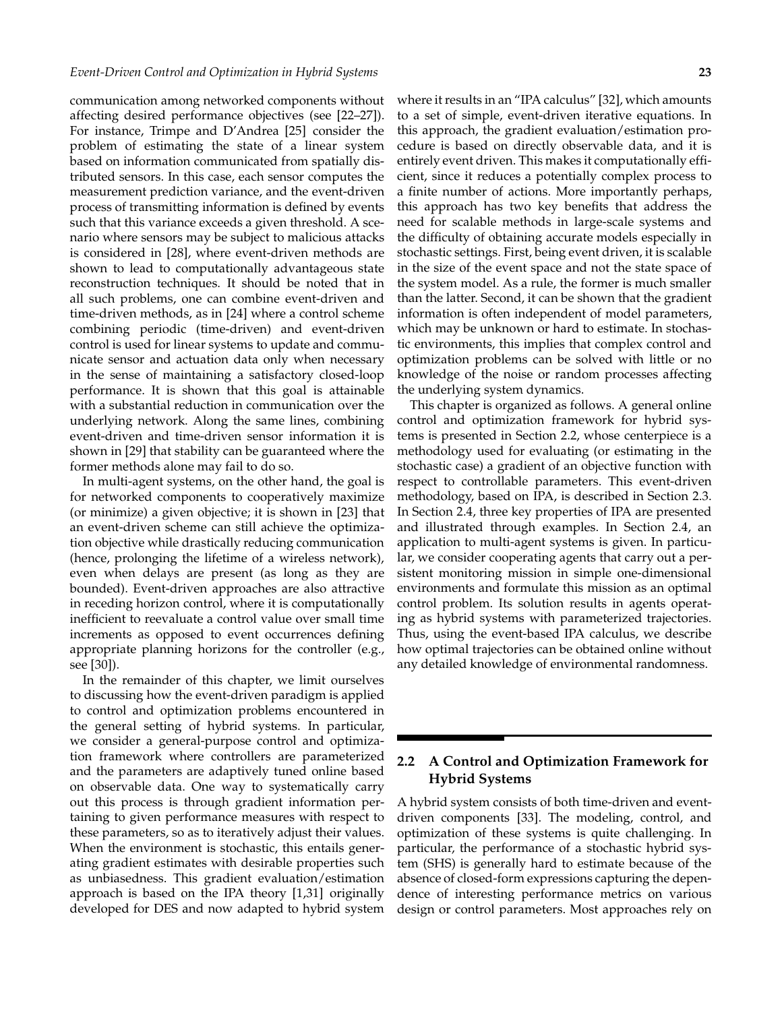communication among networked components without affecting desired performance objectives (see [22–27]). For instance, Trimpe and D'Andrea [25] consider the problem of estimating the state of a linear system based on information communicated from spatially distributed sensors. In this case, each sensor computes the measurement prediction variance, and the event-driven process of transmitting information is defined by events such that this variance exceeds a given threshold. A scenario where sensors may be subject to malicious attacks is considered in [28], where event-driven methods are shown to lead to computationally advantageous state reconstruction techniques. It should be noted that in all such problems, one can combine event-driven and time-driven methods, as in [24] where a control scheme combining periodic (time-driven) and event-driven control is used for linear systems to update and communicate sensor and actuation data only when necessary in the sense of maintaining a satisfactory closed-loop performance. It is shown that this goal is attainable with a substantial reduction in communication over the underlying network. Along the same lines, combining event-driven and time-driven sensor information it is shown in [29] that stability can be guaranteed where the former methods alone may fail to do so.

In multi-agent systems, on the other hand, the goal is for networked components to cooperatively maximize (or minimize) a given objective; it is shown in [23] that an event-driven scheme can still achieve the optimization objective while drastically reducing communication (hence, prolonging the lifetime of a wireless network), even when delays are present (as long as they are bounded). Event-driven approaches are also attractive in receding horizon control, where it is computationally inefficient to reevaluate a control value over small time increments as opposed to event occurrences defining appropriate planning horizons for the controller (e.g., see [30]).

In the remainder of this chapter, we limit ourselves to discussing how the event-driven paradigm is applied to control and optimization problems encountered in the general setting of hybrid systems. In particular, we consider a general-purpose control and optimization framework where controllers are parameterized and the parameters are adaptively tuned online based on observable data. One way to systematically carry out this process is through gradient information pertaining to given performance measures with respect to these parameters, so as to iteratively adjust their values. When the environment is stochastic, this entails generating gradient estimates with desirable properties such as unbiasedness. This gradient evaluation/estimation approach is based on the IPA theory [1,31] originally developed for DES and now adapted to hybrid system

where it results in an "IPA calculus" [32], which amounts to a set of simple, event-driven iterative equations. In this approach, the gradient evaluation/estimation procedure is based on directly observable data, and it is entirely event driven. This makes it computationally efficient, since it reduces a potentially complex process to a finite number of actions. More importantly perhaps, this approach has two key benefits that address the need for scalable methods in large-scale systems and the difficulty of obtaining accurate models especially in stochastic settings. First, being event driven, it is scalable in the size of the event space and not the state space of the system model. As a rule, the former is much smaller than the latter. Second, it can be shown that the gradient information is often independent of model parameters, which may be unknown or hard to estimate. In stochastic environments, this implies that complex control and optimization problems can be solved with little or no knowledge of the noise or random processes affecting the underlying system dynamics.

This chapter is organized as follows. A general online control and optimization framework for hybrid systems is presented in Section 2.2, whose centerpiece is a methodology used for evaluating (or estimating in the stochastic case) a gradient of an objective function with respect to controllable parameters. This event-driven methodology, based on IPA, is described in Section 2.3. In Section 2.4, three key properties of IPA are presented and illustrated through examples. In Section 2.4, an application to multi-agent systems is given. In particular, we consider cooperating agents that carry out a persistent monitoring mission in simple one-dimensional environments and formulate this mission as an optimal control problem. Its solution results in agents operating as hybrid systems with parameterized trajectories. Thus, using the event-based IPA calculus, we describe how optimal trajectories can be obtained online without any detailed knowledge of environmental randomness.

# **2.2 A Control and Optimization Framework for Hybrid Systems**

A hybrid system consists of both time-driven and eventdriven components [33]. The modeling, control, and optimization of these systems is quite challenging. In particular, the performance of a stochastic hybrid system (SHS) is generally hard to estimate because of the absence of closed-form expressions capturing the dependence of interesting performance metrics on various design or control parameters. Most approaches rely on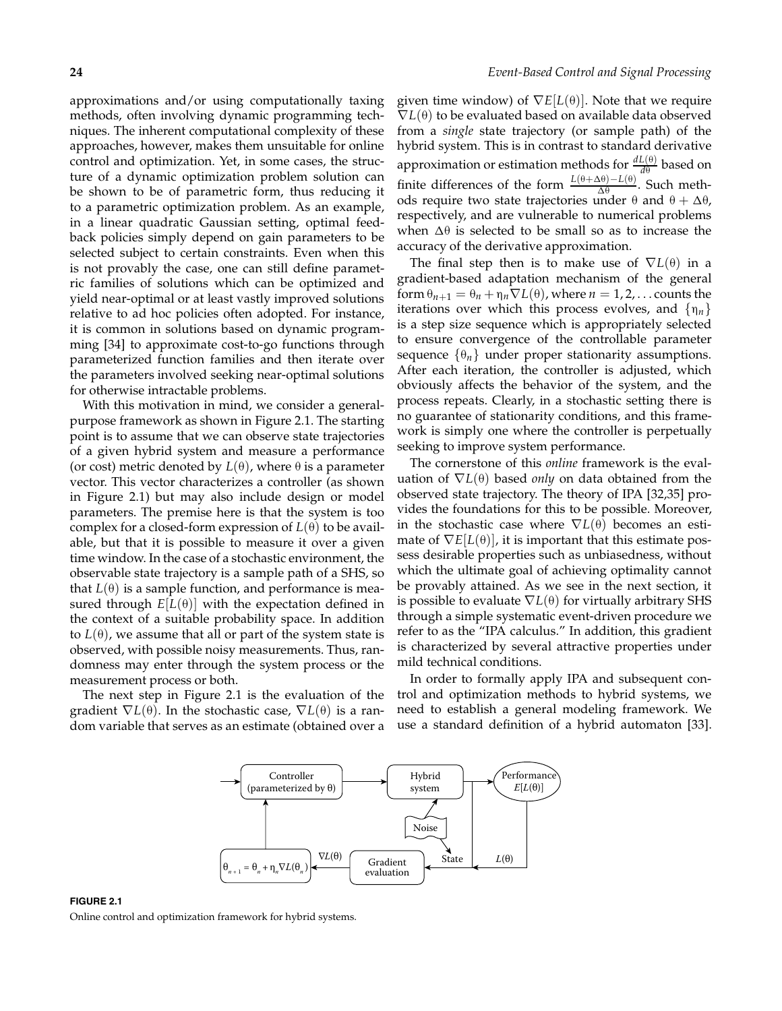<span id="page-3-0"></span>approximations and/or using computationally taxing methods, often involving dynamic programming techniques. The inherent computational complexity of these approaches, however, makes them unsuitable for online control and optimization. Yet, in some cases, the structure of a dynamic optimization problem solution can be shown to be of parametric form, thus reducing it to a parametric optimization problem. As an example, in a linear quadratic Gaussian setting, optimal feedback policies simply depend on gain parameters to be selected subject to certain constraints. Even when this is not provably the case, one can still define parametric families of solutions which can be optimized and yield near-optimal or at least vastly improved solutions relative to ad hoc policies often adopted. For instance, it is common in solutions based on dynamic programming [34] to approximate cost-to-go functions through parameterized function families and then iterate over the parameters involved seeking near-optimal solutions for otherwise intractable problems.

With this motivation in mind, we consider a generalpurpose framework as shown in Figure 2.1. The starting point is to assume that we can observe state trajectories of a given hybrid system and measure a performance (or cost) metric denoted by  $L(\theta)$ , where  $\theta$  is a parameter vector. This vector characterizes a controller (as shown in Figure 2.1) but may also include design or model parameters. The premise here is that the system is too complex for a closed-form expression of *L*(θ) to be available, but that it is possible to measure it over a given time window. In the case of a stochastic environment, the observable state trajectory is a sample path of a SHS, so that  $L(\theta)$  is a sample function, and performance is measured through  $E[L(\theta)]$  with the expectation defined in the context of a suitable probability space. In addition to  $L(\theta)$ , we assume that all or part of the system state is observed, with possible noisy measurements. Thus, randomness may enter through the system process or the measurement process or both.

The next step in Figure 2.1 is the evaluation of the gradient  $\nabla L(\theta)$ . In the stochastic case,  $\nabla L(\theta)$  is a random variable that serves as an estimate (obtained over a

given time window) of ∇*E*[*L*(θ)]. Note that we require ∇*L*(θ) to be evaluated based on available data observed from a *single* state trajectory (or sample path) of the hybrid system. This is in contrast to standard derivative approximation or estimation methods for  $\frac{dL(\theta)}{d\theta}$  based on finite differences of the form  $\frac{L(\theta + \Delta\theta) - L(\theta)}{\Delta\theta}$ . Such methods require two state trajectories under  $\theta$  and  $\theta + \Delta\theta$ , respectively, and are vulnerable to numerical problems when  $\Delta\theta$  is selected to be small so as to increase the accuracy of the derivative approximation.

The final step then is to make use of ∇*L*(θ) in a gradient-based adaptation mechanism of the general form  $\theta_{n+1} = \theta_n + \eta_n \nabla L(\theta)$ , where  $n = 1, 2, \dots$  counts the iterations over which this process evolves, and  $\{\eta_n\}$ is a step size sequence which is appropriately selected to ensure convergence of the controllable parameter sequence  $\{\theta_n\}$  under proper stationarity assumptions. After each iteration, the controller is adjusted, which obviously affects the behavior of the system, and the process repeats. Clearly, in a stochastic setting there is no guarantee of stationarity conditions, and this framework is simply one where the controller is perpetually seeking to improve system performance.

The cornerstone of this *online* framework is the evaluation of ∇*L*(θ) based *only* on data obtained from the observed state trajectory. The theory of IPA [32,35] provides the foundations for this to be possible. Moreover, in the stochastic case where ∇*L*(θ) becomes an estimate of  $\nabla E[L(\theta)]$ , it is important that this estimate possess desirable properties such as unbiasedness, without which the ultimate goal of achieving optimality cannot be provably attained. As we see in the next section, it is possible to evaluate  $\nabla L(\theta)$  for virtually arbitrary SHS through a simple systematic event-driven procedure we refer to as the "IPA calculus." In addition, this gradient is characterized by several attractive properties under mild technical conditions.

In order to formally apply IPA and subsequent control and optimization methods to hybrid systems, we need to establish a general modeling framework. We use a standard definition of a hybrid automaton [33].



#### **FIGURE 2.1**

Online control and optimization framework for hybrid systems.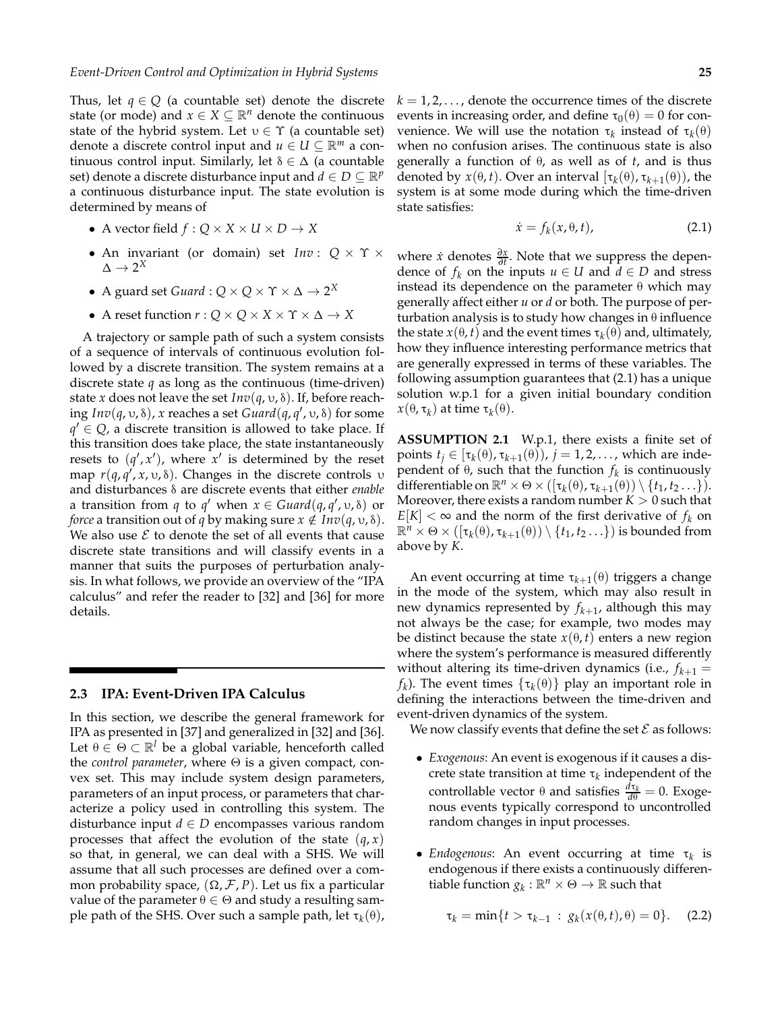Thus, let  $q \in Q$  (a countable set) denote the discrete state (or mode) and  $x \in X \subseteq \mathbb{R}^n$  denote the continuous state of the hybrid system. Let  $v \in \Upsilon$  (a countable set) denote a discrete control input and  $u \in U \subseteq \mathbb{R}^m$  a continuous control input. Similarly, let  $\delta \in \Delta$  (a countable set) denote a discrete disturbance input and  $d \in D \subseteq \mathbb{R}^p$ a continuous disturbance input. The state evolution is determined by means of

- A vector field  $f: Q \times X \times U \times D \rightarrow X$
- An invariant (or domain) set *Inv* : *Q* × Υ ×  $\Delta \rightarrow 2^X$
- A guard set *Guard* :  $Q \times Q \times \Upsilon \times \Delta \rightarrow 2^X$
- A reset function  $r: Q \times Q \times X \times \Upsilon \times \Delta \rightarrow X$

A trajectory or sample path of such a system consists of a sequence of intervals of continuous evolution followed by a discrete transition. The system remains at a discrete state *q* as long as the continuous (time-driven) state *x* does not leave the set *Inv*(*q*, υ, δ). If, before reaching *Inv*(*q*, υ, δ), *x* reaches a set *Guard*(*q*, *q* , υ, δ) for some  $q' \in Q$ , a discrete transition is allowed to take place. If this transition does take place, the state instantaneously resets to  $(q', x')$ , where  $x'$  is determined by the reset map  $r(q, q', x, v, \delta)$ . Changes in the discrete controls *v* and disturbances δ are discrete events that either *enable* a transition from *q* to *q'* when  $x \in \text{Guard}(q, q', v, \delta)$  or *force* a transition out of *q* by making sure  $x \notin Inv(q, v, \delta)$ . We also use  $\mathcal E$  to denote the set of all events that cause discrete state transitions and will classify events in a manner that suits the purposes of perturbation analysis. In what follows, we provide an overview of the "IPA calculus" and refer the reader to [32] and [36] for more details.

#### **2.3 IPA: Event-Driven IPA Calculus**

In this section, we describe the general framework for IPA as presented in [37] and generalized in [32] and [36]. Let  $\theta \in \Theta \subset \mathbb{R}^l$  be a global variable, henceforth called the *control parameter*, where Θ is a given compact, convex set. This may include system design parameters, parameters of an input process, or parameters that characterize a policy used in controlling this system. The disturbance input  $d \in D$  encompasses various random processes that affect the evolution of the state  $(q, x)$ so that, in general, we can deal with a SHS. We will assume that all such processes are defined over a common probability space, (Ω, F, *P*). Let us fix a particular value of the parameter  $\theta \in \Theta$  and study a resulting sample path of the SHS. Over such a sample path, let  $\tau_k(\theta)$ ,

 $k = 1, 2, \ldots$ , denote the occurrence times of the discrete events in increasing order, and define  $\tau_0(\theta) = 0$  for convenience. We will use the notation τ*<sup>k</sup>* instead of τ*k*(θ) when no confusion arises. The continuous state is also generally a function of θ, as well as of *t*, and is thus denoted by  $x(\theta, t)$ . Over an interval  $[\tau_k(\theta), \tau_{k+1}(\theta)]$ , the system is at some mode during which the time-driven state satisfies:

$$
\dot{x} = f_k(x, \theta, t), \tag{2.1}
$$

where *x* denotes  $\frac{\partial x}{\partial t}$ . Note that we suppress the dependence of  $f_k$  on the inputs  $u \in U$  and  $d \in D$  and stress instead its dependence on the parameter  $θ$  which may generally affect either *u* or *d* or both. The purpose of perturbation analysis is to study how changes in  $\theta$  influence the state *x*( $\theta$ ,*t*) and the event times  $τ_k(\theta)$  and, ultimately, how they influence interesting performance metrics that are generally expressed in terms of these variables. The following assumption guarantees that (2.1) has a unique solution w.p.1 for a given initial boundary condition *x*(θ, τ*k*) at time τ*k*(θ).

**ASSUMPTION 2.1** W.p.1, there exists a finite set of points *t<sub>j</sub>* ∈ [τ<sub>*k*</sub>( $θ$ ), τ<sub>*k*+1</sub>( $θ$ )), *j* = 1, 2, . . . , which are independent of  $\theta$ , such that the function  $f_k$  is continuously differentiable on  $\mathbb{R}^n \times \Theta \times (\lceil \tau_k(\theta), \tau_{k+1}(\theta) \rceil) \setminus \{t_1, t_2 \dots\}).$ Moreover, there exists a random number  $K > 0$  such that  $E[K] < \infty$  and the norm of the first derivative of  $f_k$  on  $\mathbb{R}^n \times \Theta \times (\lbrack \tau_k(\theta), \tau_{k+1}(\theta)) \setminus \{t_1, t_2 \ldots \} )$  is bounded from above by *K*.

An event occurring at time  $\tau_{k+1}(\theta)$  triggers a change in the mode of the system, which may also result in new dynamics represented by  $f_{k+1}$ , although this may not always be the case; for example, two modes may be distinct because the state  $x(θ, t)$  enters a new region where the system's performance is measured differently without altering its time-driven dynamics (i.e.,  $f_{k+1} =$ *f<sub>k</sub>*). The event times  $\{\tau_k(\theta)\}\$  play an important role in defining the interactions between the time-driven and event-driven dynamics of the system.

We now classify events that define the set  $\mathcal E$  as follows:

- *Exogenous*: An event is exogenous if it causes a discrete state transition at time  $\tau_k$  independent of the controllable vector  $\theta$  and satisfies  $\frac{d\tau_k}{d\theta} = 0$ . Exogenous events typically correspond to uncontrolled random changes in input processes.
- *Endogenous*: An event occurring at time τ*<sup>k</sup>* is endogenous if there exists a continuously differentiable function  $g_k : \mathbb{R}^n \times \Theta \to \mathbb{R}$  such that

$$
\tau_k = \min\{t > \tau_{k-1} \,:\, g_k(x(\theta, t), \theta) = 0\}.
$$
 (2.2)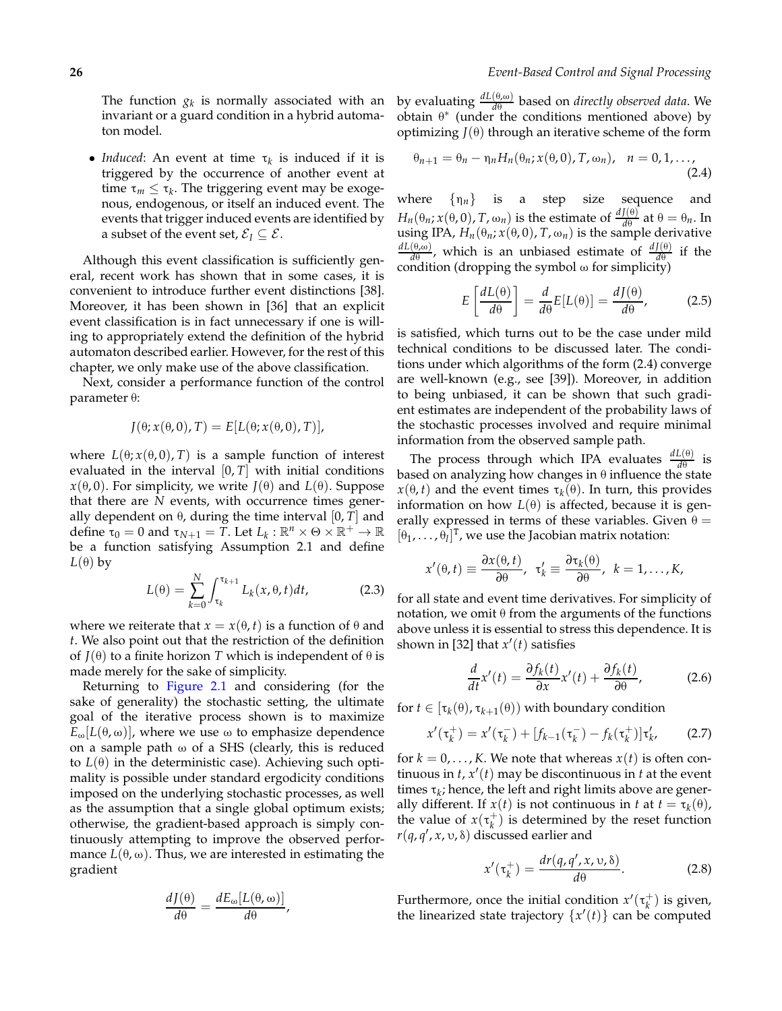The function  $g_k$  is normally associated with an invariant or a guard condition in a hybrid automaton model.

• *Induced*: An event at time τ*<sup>k</sup>* is induced if it is triggered by the occurrence of another event at time  $\tau_m \leq \tau_k$ . The triggering event may be exogenous, endogenous, or itself an induced event. The events that trigger induced events are identified by a subset of the event set,  $\mathcal{E}_I \subseteq \mathcal{E}$ .

Although this event classification is sufficiently general, recent work has shown that in some cases, it is convenient to introduce further event distinctions [38]. Moreover, it has been shown in [36] that an explicit event classification is in fact unnecessary if one is willing to appropriately extend the definition of the hybrid automaton described earlier. However, for the rest of this chapter, we only make use of the above classification.

Next, consider a performance function of the control parameter θ:

$$
J(\theta; x(\theta, 0), T) = E[L(\theta; x(\theta, 0), T)],
$$

where  $L(\theta; x(\theta, 0), T)$  is a sample function of interest evaluated in the interval [0, *T*] with initial conditions *x*( $θ$ , $0$ ). For simplicity, we write  $J(θ)$  and  $L(θ)$ . Suppose that there are *N* events, with occurrence times generally dependent on  $θ$ , during the time interval  $[0, T]$  and define  $\tau_0 = 0$  and  $\tau_{N+1} = T$ . Let  $L_k : \mathbb{R}^n \times \Theta \times \mathbb{R}^+ \to \mathbb{R}$ be a function satisfying Assumption 2.1 and define  $L(θ)$  by

$$
L(\theta) = \sum_{k=0}^{N} \int_{\tau_k}^{\tau_{k+1}} L_k(x, \theta, t) dt,
$$
 (2.3)

where we reiterate that *x* = *x*( $θ$ ,*t*) is a function of  $θ$  and *t*. We a[lso point ou](#page-3-0)t that the restriction of the definition of  $J(\theta)$  to a finite horizon *T* which is independent of  $\theta$  is made merely for the sake of simplicity.

Returning to Figure 2.1 and considering (for the sake of generality) the stochastic setting, the ultimate goal of the iterative process shown is to maximize  $E_{\omega}[L(\theta,\omega)]$ , where we use  $\omega$  to emphasize dependence on a sample path  $\omega$  of a SHS (clearly, this is reduced to  $L(\theta)$  in the deterministic case). Achieving such optimality is possible under standard ergodicity conditions imposed on the underlying stochastic processes, as well as the assumption that a single global optimum exists; otherwise, the gradient-based approach is simply continuously attempting to improve the observed performance  $L(\theta, \omega)$ . Thus, we are interested in estimating the gradient

$$
\frac{dJ(\theta)}{d\theta} = \frac{dE_{\omega}[L(\theta,\omega)]}{d\theta},
$$

by evaluating  $\frac{dL(\theta,\omega)}{d\theta}$  based on *directly observed data*. We obtain  $\theta^*$  (under the conditions mentioned above) by optimizing *J*(θ) through an iterative scheme of the form

$$
\theta_{n+1} = \theta_n - \eta_n H_n(\theta_n; x(\theta, 0), T, \omega_n), \quad n = 0, 1, \ldots,
$$
\n(2.4)

where {η*n*} is a step size sequence and  $H_n(\theta_n; \chi(\theta, 0), T, \omega_n)$  is the estimate of  $\frac{dJ(\theta)}{d\theta}$  at  $\theta = \theta_n$ . In using IPA,  $H_n(\theta_n; x(\theta, 0), T, \omega_n)$  is the sample derivative  $\frac{dL(\theta,\omega)}{d\theta}$ , which is an unbiased estimate of  $\frac{dJ(\theta)}{d\theta}$  if the condition (dropping the symbol  $\omega$  for simplicity)

$$
E\left[\frac{dL(\theta)}{d\theta}\right] = \frac{d}{d\theta}E[L(\theta)] = \frac{dJ(\theta)}{d\theta},
$$
 (2.5)

is satisfied, which turns out to be the case under mild technical conditions to be discussed later. The conditions under which algorithms of the form (2.4) converge are well-known (e.g., see [39]). Moreover, in addition to being unbiased, it can be shown that such gradient estimates are independent of the probability laws of the stochastic processes involved and require minimal information from the observed sample path.

The process through which IPA evaluates  $\frac{dL(\theta)}{d\theta}$  is based on analyzing how changes in  $\theta$  influence the state *x*( $θ$ *, t*) and the event times  $τ$ <sub>*k*</sub>( $θ$ ). In turn, this provides information on how  $L(\theta)$  is affected, because it is generally expressed in terms of these variables. Given  $\theta =$  $[\theta_1, \ldots, \theta_l]^T$ , we use the Jacobian matrix notation:

$$
x'(\theta,t)\equiv \frac{\partial x(\theta,t)}{\partial \theta}, \ \tau'_k\equiv \frac{\partial \tau_k(\theta)}{\partial \theta}, \ k=1,\ldots,K,
$$

for all state and event time derivatives. For simplicity of notation, we omit θ from the arguments of the functions above unless it is essential to stress this dependence. It is shown in [32] that  $x'(t)$  satisfies

$$
\frac{d}{dt}x'(t) = \frac{\partial f_k(t)}{\partial x}x'(t) + \frac{\partial f_k(t)}{\partial \theta},
$$
\n(2.6)

for  $t \in [\tau_k(\theta), \tau_{k+1}(\theta))$  with boundary condition

$$
x'(\tau_k^+) = x'(\tau_k^-) + [f_{k-1}(\tau_k^-) - f_k(\tau_k^+)]\tau_k',
$$
 (2.7)

for  $k = 0, \ldots, K$ . We note that whereas  $x(t)$  is often continuous in *t*,  $x'(t)$  may be discontinuous in *t* at the event times  $\tau_k$ ; hence, the left and right limits above are generally different. If  $x(t)$  is not continuous in *t* at  $t = \tau_k(\theta)$ , the value of  $x(\tau_k^+)$  is determined by the reset function  $r(q, q', x, v, \delta)$  discussed earlier and

$$
x'(\tau_k^+) = \frac{dr(q, q', x, \upsilon, \delta)}{d\theta}.
$$
 (2.8)

Furthermore, once the initial condition  $x'(\tau_k^+)$  is given, the linearized state trajectory  $\{x'(t)\}$  can be computed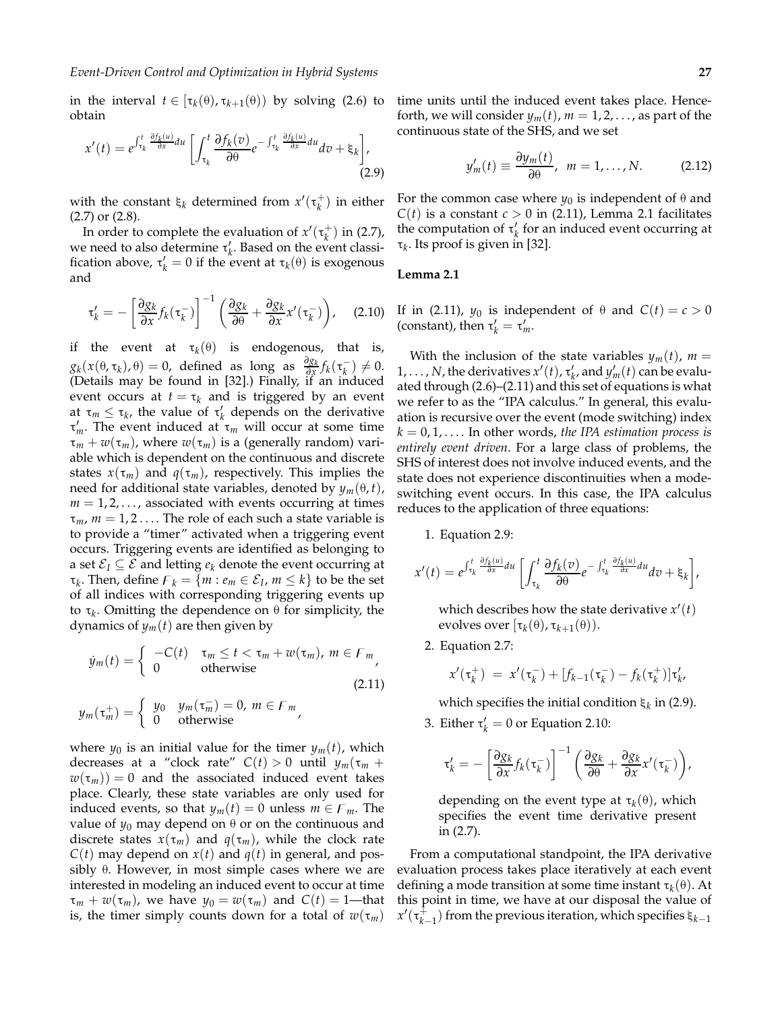in the interval  $t \in [\tau_k(\theta), \tau_{k+1}(\theta))$  by solving (2.6) to obtain

$$
x'(t) = e^{\int_{\tau_k}^t \frac{\partial f_k(u)}{\partial x} du} \left[ \int_{\tau_k}^t \frac{\partial f_k(v)}{\partial \theta} e^{-\int_{\tau_k}^t \frac{\partial f_k(u)}{\partial x} du} dv + \xi_k \right],
$$
\n(2.9)

with the constant  $\xi_k$  determined from  $x'(\tau_k^+)$  in either (2.7) or (2.8).

In order to complete the evaluation of  $x'(\tau_k^+)$  in (2.7), we need to also determine  $\tau'_k$ . Based on the event classification above,  $\tau'_k = 0$  if the event at  $\tau_k(\theta)$  is exogenous and

$$
\tau'_{k} = -\left[\frac{\partial g_{k}}{\partial x} f_{k}(\tau_{k}^{-})\right]^{-1} \left(\frac{\partial g_{k}}{\partial \theta} + \frac{\partial g_{k}}{\partial x} x'(\tau_{k}^{-})\right), \quad (2.10)
$$

if the event at  $\tau_k(\theta)$  is endogenous, that is,  $g_k(x(\theta, \tau_k), \theta) = 0$ , defined as long as  $\frac{\partial g_k}{\partial x} f_k(\tau_k^-) \neq 0$ . (Details may be found in [32].) Finally, if an induced event occurs at  $t = \tau_k$  and is triggered by an event at  $\tau_m \leq \tau_k$ , the value of  $\tau'_k$  depends on the derivative τ *<sup>m</sup>*. The event induced at τ*<sup>m</sup>* will occur at some time  $\tau_m + w(\tau_m)$ , where  $w(\tau_m)$  is a (generally random) variable which is dependent on the continuous and discrete states  $x(\tau_m)$  and  $q(\tau_m)$ , respectively. This implies the need for additional state variables, denoted by  $y_m(\theta, t)$ ,  $m = 1, 2, \ldots$ , associated with events occurring at times  $\tau_m$ ,  $m = 1, 2, \ldots$  The role of each such a state variable is to provide a "timer" activated when a triggering event occurs. Triggering events are identified as belonging to a set  $\mathcal{E}_I \subseteq \mathcal{E}$  and letting  $e_k$  denote the event occurring at  $\tau_k$ . Then, define  $\Gamma_k = \{m : e_m \in \mathcal{E}_I, m \leq k\}$  to be the set of all indices with corresponding triggering events up to τ*k*. Omitting the dependence on θ for simplicity, the dynamics of *ym*(*t*) are then given by

$$
\dot{y}_m(t) = \begin{cases}\n-C(t) & \tau_m \le t < \tau_m + w(\tau_m), \ m \in F_m, \\
0 & \text{otherwise}\n\end{cases}
$$
\n(2.11)

$$
y_m(\tau_m^+) = \begin{cases} y_0 & y_m(\tau_m^-) = 0, m \in F_m, \\ 0 & \text{otherwise} \end{cases}
$$

where  $y_0$  is an initial value for the timer  $y_m(t)$ , which decreases at a "clock rate"  $C(t) > 0$  until  $y_m(\tau_m +$  $w(\tau_m)$ ) = 0 and the associated induced event takes place. Clearly, these state variables are only used for induced events, so that  $y_m(t) = 0$  unless  $m \in F_m$ . The value of  $y_0$  may depend on  $\theta$  or on the continuous and discrete states  $x(\tau_m)$  and  $q(\tau_m)$ , while the clock rate  $C(t)$  may depend on  $x(t)$  and  $q(t)$  in general, and possibly θ. However, in most simple cases where we are interested in modeling an induced event to occur at time  $\tau_m + w(\tau_m)$ , we have  $y_0 = w(\tau_m)$  and  $C(t) = 1$ —that is, the timer simply counts down for a total of  $w(\tau_m)$ 

time units until the induced event takes place. Henceforth, we will consider  $y_m(t)$ ,  $m = 1, 2, \ldots$ , as part of the continuous state of the SHS, and we set

$$
y'_m(t) \equiv \frac{\partial y_m(t)}{\partial \theta}, \ \ m = 1, \dots, N. \tag{2.12}
$$

For the common case where  $y_0$  is independent of  $\theta$  and  $C(t)$  is a constant  $c > 0$  in (2.11), Lemma 2.1 facilitates the computation of  $\tau'_{k}$  for an induced event occurring at τ*k*. Its proof is given in [32].

#### **Lemma 2.1**

If in (2.11),  $y_0$  is independent of  $\theta$  and  $C(t) = c > 0$ (constant), then  $\tau'_k = \tau'_m$ .

With the inclusion of the state variables  $y_m(t)$ ,  $m =$ 1, ..., *N*, the derivatives  $x'(t)$ ,  $\tau'_{k'}$ , and  $y'_{m}(t)$  can be evaluated through (2.6)–(2.11) and this set of equations is what we refer to as the "IPA calculus." In general, this evaluation is recursive over the event (mode switching) index  $k = 0, 1, \ldots$  In other words, the IPA estimation process is *entirely event driven*. For a large class of problems, the SHS of interest does not involve induced events, and the state does not experience discontinuities when a modeswitching event occurs. In this case, the IPA calculus reduces to the application of three equations:

1. Equation 2.9:

$$
x'(t) = e^{\int_{\tau_k}^t \frac{\partial f_k(u)}{\partial x} du} \left[ \int_{\tau_k}^t \frac{\partial f_k(v)}{\partial \theta} e^{-\int_{\tau_k}^t \frac{\partial f_k(u)}{\partial x} du} dv + \xi_k \right],
$$

which describes how the state derivative  $x'(t)$ evolves over  $[τ_k(θ), τ_{k+1}(θ)).$ 

2. Equation 2.7:

$$
x'(\tau_k^+) = x'(\tau_k^-) + [f_{k-1}(\tau_k^-) - f_k(\tau_k^+)]\tau_k',
$$

which specifies the initial condition ξ*<sup>k</sup>* in (2.9).

3. Either  $\tau'_k = 0$  or Equation 2.10:

$$
\tau'_{k} = -\left[\frac{\partial g_{k}}{\partial x} f_{k}(\tau_{k}^{-})\right]^{-1} \left(\frac{\partial g_{k}}{\partial \theta} + \frac{\partial g_{k}}{\partial x} x'(\tau_{k}^{-})\right),
$$

depending on the event type at  $\tau_k(\theta)$ , which specifies the event time derivative present in (2.7).

From a computational standpoint, the IPA derivative evaluation process takes place iteratively at each event defining a mode transition at some time instant τ*k*(θ). At this point in time, we have at our disposal the value of *x'* (τ $_{k-1}^{+}$ ) from the previous iteration, which specifies ξ<sub>*k−*1</sub>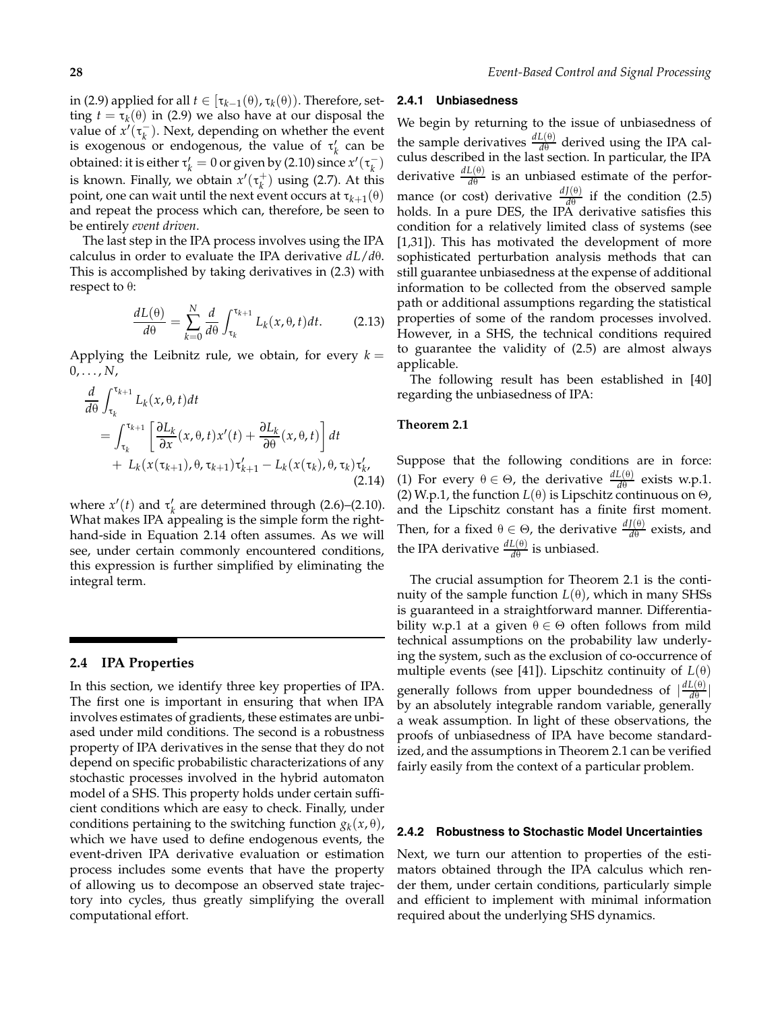in (2.9) applied for all *t* ∈ [τ*k*−1(θ), τ*k*(θ)). Therefore, setting  $t = \tau_k(\theta)$  in (2.9) we also have at our disposal the value of  $x'(\tau_k^-)$ . Next, depending on whether the event is exogenous or endogenous, the value of  $\tau'_k$  can be obtained: it is either  $\tau'_k = 0$  or given by (2.10) since  $x'(\tau_k^-)$ is known. Finally, we obtain  $x'(\tau_k^+)$  using (2.7). At this point, one can wait until the next event occurs at  $\tau_{k+1}(\theta)$ and repeat the process which can, therefore, be seen to be entirely *event driven*.

The last step in the IPA process involves using the IPA calculus in order to evaluate the IPA derivative *dL*/*d*θ. This is accomplished by taking derivatives in (2.3) with respect to θ:

$$
\frac{dL(\theta)}{d\theta} = \sum_{k=0}^{N} \frac{d}{d\theta} \int_{\tau_k}^{\tau_{k+1}} L_k(x, \theta, t) dt.
$$
 (2.13)

Applying the Leibnitz rule, we obtain, for every  $k =$  $0, \ldots, N,$ 

$$
\frac{d}{d\theta} \int_{\tau_k}^{\tau_{k+1}} L_k(x, \theta, t) dt \n= \int_{\tau_k}^{\tau_{k+1}} \left[ \frac{\partial L_k}{\partial x}(x, \theta, t) x'(t) + \frac{\partial L_k}{\partial \theta}(x, \theta, t) \right] dt \n+ L_k(x(\tau_{k+1}), \theta, \tau_{k+1}) \tau'_{k+1} - L_k(x(\tau_k), \theta, \tau_k) \tau'_{k}.
$$
\n(2.14)

where  $x'(t)$  and  $\tau'_k$  are determined through (2.6)–(2.10). What makes IPA appealing is the simple form the righthand-side in Equation 2.14 often assumes. As we will see, under certain commonly encountered conditions, this expression is further simplified by eliminating the integral term.

#### **2.4 IPA Properties**

In this section, we identify three key properties of IPA. The first one is important in ensuring that when IPA involves estimates of gradients, these estimates are unbiased under mild conditions. The second is a robustness property of IPA derivatives in the sense that they do not depend on specific probabilistic characterizations of any stochastic processes involved in the hybrid automaton model of a SHS. This property holds under certain sufficient conditions which are easy to check. Finally, under conditions pertaining to the switching function  $g_k(x, \theta)$ , which we have used to define endogenous events, the event-driven IPA derivative evaluation or estimation process includes some events that have the property of allowing us to decompose an observed state trajectory into cycles, thus greatly simplifying the overall computational effort.

#### **2.4.1 Unbiasedness**

We begin by returning to the issue of unbiasedness of the sample derivatives  $\frac{dL(\theta)}{d\theta}$  derived using the IPA calculus described in the last section. In particular, the IPA derivative  $\frac{dL(\theta)}{d\theta}$  is an unbiased estimate of the performance (or cost) derivative  $\frac{dJ(\theta)}{d\theta}$  if the condition (2.5) holds. In a pure DES, the IPA derivative satisfies this condition for a relatively limited class of systems (see [1,31]). This has motivated the development of more sophisticated perturbation analysis methods that can still guarantee unbiasedness at the expense of additional information to be collected from the observed sample path or additional assumptions regarding the statistical properties of some of the random processes involved. However, in a SHS, the technical conditions required to guarantee the validity of (2.5) are almost always applicable.

The following result has been established in [40] regarding the unbiasedness of IPA:

#### **Theorem 2.1**

Suppose that the following conditions are in force: (1) For every  $\theta \in \Theta$ , the derivative  $\frac{dL(\theta)}{d\theta}$  exists w.p.1. (2) W.p.1, the function  $L(\theta)$  is Lipschitz continuous on  $\Theta$ , and the Lipschitz constant has a finite first moment. Then, for a fixed  $\theta \in \Theta$ , the derivative  $\frac{dJ(\theta)}{d\theta}$  exists, and the IPA derivative  $\frac{dL(\theta)}{d\theta}$  is unbiased.

The crucial assumption for Theorem 2.1 is the continuity of the sample function  $L(\theta)$ , which in many SHSs is guaranteed in a straightforward manner. Differentiability w.p.1 at a given  $\theta \in \Theta$  often follows from mild technical assumptions on the probability law underlying the system, such as the exclusion of co-occurrence of multiple events (see [41]). Lipschitz continuity of  $L(\theta)$ generally follows from upper boundedness of  $\left|\frac{dL(\theta)}{d\theta}\right|$ by an absolutely integrable random variable, generally a weak assumption. In light of these observations, the proofs of unbiasedness of IPA have become standardized, and the assumptions in Theorem 2.1 can be verified fairly easily from the context of a particular problem.

#### **2.4.2 Robustness to Stochastic Model Uncertainties**

Next, we turn our attention to properties of the estimators obtained through the IPA calculus which render them, under certain conditions, particularly simple and efficient to implement with minimal information required about the underlying SHS dynamics.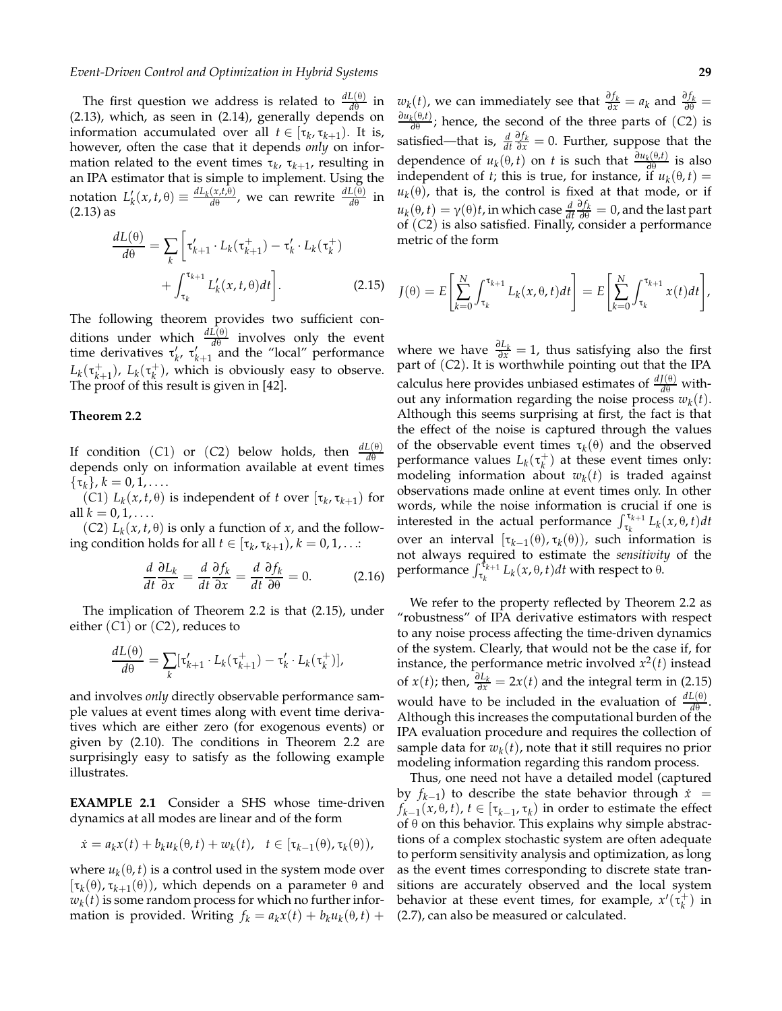#### *Event-Driven Control and Optimization in Hybrid Systems* **29**

The first question we address is related to  $\frac{dL(\theta)}{d\theta}$  in (2.13), which, as seen in (2.14), generally depends on information accumulated over all  $t \in [\tau_k, \tau_{k+1})$ . It is, however, often the case that it depends *only* on information related to the event times  $\tau_k$ ,  $\tau_{k+1}$ , resulting in an IPA estimator that is simple to implement. Using the notation  $L'_k(x,t,\theta) \equiv \frac{dL_k(x,t,\theta)}{d\theta}$ , we can rewrite  $\frac{dL(\theta)}{d\theta}$  in (2.13) as

$$
\frac{dL(\theta)}{d\theta} = \sum_{k} \left[ \tau'_{k+1} \cdot L_k(\tau^+_{k+1}) - \tau'_k \cdot L_k(\tau^+_{k}) + \int_{\tau_k}^{\tau_{k+1}} L'_k(x, t, \theta) dt \right].
$$
\n(2.15)

The following theorem provides two sufficient conditions under which  $\frac{dL(\theta)}{d\theta}$  involves only the event time derivatives  $\tau'_{k'}$ ,  $\tau'_{k+1}$  and the "local" performance  $L_k(\tau_{k+1}^+)$ ,  $L_k(\tau_k^+)$ , which is obviously easy to observe. The proof of this result is given in [42].

#### **Theorem 2.2**

If condition (*C*1) or (*C*2) below holds, then  $\frac{dL(\theta)}{d\theta}$ depends only on information available at event times  ${\{\tau_k\}, k = 0, 1, \ldots}$ 

(*C*1)  $L_k(x, t, \theta)$  is independent of *t* over  $[\tau_k, \tau_{k+1})$  for all  $k = 0, 1, \ldots$ 

(*C*2)  $L_k(x, t, \theta)$  is only a function of *x*, and the following condition holds for all  $t \in [\tau_k, \tau_{k+1}), k = 0, 1, \ldots$ :

$$
\frac{d}{dt}\frac{\partial L_k}{\partial x} = \frac{d}{dt}\frac{\partial f_k}{\partial x} = \frac{d}{dt}\frac{\partial f_k}{\partial \theta} = 0.
$$
 (2.16)

The implication of Theorem 2.2 is that (2.15), under either (*C*1) or (*C*2), reduces to

$$
\frac{dL(\theta)}{d\theta} = \sum_{k} [\tau'_{k+1} \cdot L_k(\tau^+_{k+1}) - \tau'_{k} \cdot L_k(\tau^+_{k})],
$$

and involves *only* directly observable performance sample values at event times along with event time derivatives which are either zero (for exogenous events) or given by (2.10). The conditions in Theorem 2.2 are surprisingly easy to satisfy as the following example illustrates.

**EXAMPLE 2.1** Consider a SHS whose time-driven dynamics at all modes are linear and of the form

$$
\dot{x} = a_k x(t) + b_k u_k(\theta, t) + w_k(t), \quad t \in [\tau_{k-1}(\theta), \tau_k(\theta)),
$$

where  $u_k(\theta, t)$  is a control used in the system mode over  $[\tau_k(\theta), \tau_{k+1}(\theta)]$ , which depends on a parameter  $\theta$  and  $w_k(t)$  is some random process for which no further information is provided. Writing  $f_k = a_k x(t) + b_k u_k(\theta, t) + b_k u_k(\theta, t)$ 

*w<sub>k</sub>*(*t*), we can immediately see that  $\frac{\partial f_k}{\partial x} = a_k$  and  $\frac{\partial f_k}{\partial \theta} = a_k$  $\frac{\partial u_k(\theta,t)}{\partial \theta}$ ; hence, the second of the three parts of (*C*2) is satisfied—that is,  $\frac{d}{dt} \frac{\partial f_k}{\partial x} = 0$ . Further, suppose that the dependence of  $u_k(\theta, t)$  on *t* is such that  $\frac{\partial u_k(\theta, t)}{\partial \theta}$  is also independent of *t*; this is true, for instance, if  $u_k(\theta, t) =$  $u_k(\theta)$ , that is, the control is fixed at that mode, or if  $u_k(\theta, t) = \gamma(\theta)t$ , in which case  $\frac{d}{dt} \frac{\partial f_k}{\partial \theta} = 0$ , and the last part of (*C*2) is also satisfied. Finally, consider a performance metric of the form

$$
J(\theta) = E\left[\sum_{k=0}^N \int_{\tau_k}^{\tau_{k+1}} L_k(x, \theta, t) dt\right] = E\left[\sum_{k=0}^N \int_{\tau_k}^{\tau_{k+1}} x(t) dt\right],
$$

where we have  $\frac{\partial L_k}{\partial x} = 1$ , thus satisfying also the first part of (*C*2). It is worthwhile pointing out that the IPA calculus here provides unbiased estimates of  $\frac{dJ(\theta)}{d\theta}$  without any information regarding the noise process  $w_k(t)$ . Although this seems surprising at first, the fact is that the effect of the noise is captured through the values of the observable event times  $\tau_k(\theta)$  and the observed performance values  $L_k(\tau_k^+)$  at these event times only: modeling information about  $w_k(t)$  is traded against observations made online at event times only. In other words, while the noise information is crucial if one is interested in the actual performance  $\int_{\tau_k}^{\tau_{k+1}} L_k(x, \theta, t) dt$ over an interval [τ*k*−1(θ), τ*k*(θ)), such information is not always required to estimate the *sensitivity* of the performance  $\int_{\tau_k}^{\tau_{k+1}} L_k(x, \theta, t) dt$  with respect to  $\theta$ .

We refer to the property reflected by Theorem 2.2 as "robustness" of IPA derivative estimators with respect to any noise process affecting the time-driven dynamics of the system. Clearly, that would not be the case if, for instance, the performance metric involved  $x^2(t)$  instead of *x*(*t*); then,  $\frac{\partial L_k}{\partial x} = 2x(t)$  and the integral term in (2.15) would have to be included in the evaluation of  $\frac{dL(\theta)}{d\theta}$ . Although this increases the computational burden of the IPA evaluation procedure and requires the collection of sample data for  $w_k(t)$ , note that it still requires no prior modeling information regarding this random process.

Thus, one need not have a detailed model (captured by *fk*−1) to describe the state behavior through *x*˙ = *f*<sub>*k*−1</sub>(*x*,  $θ$ , *t*), *t* ∈ [τ<sub>*k*−1</sub>, τ<sub>*k*</sub>) in order to estimate the effect of  $\theta$  on this behavior. This explains why simple abstractions of a complex stochastic system are often adequate to perform sensitivity analysis and optimization, as long as the event times corresponding to discrete state transitions are accurately observed and the local system behavior at these event times, for example,  $x'(\tau_k^+)$  in (2.7), can also be measured or calculated.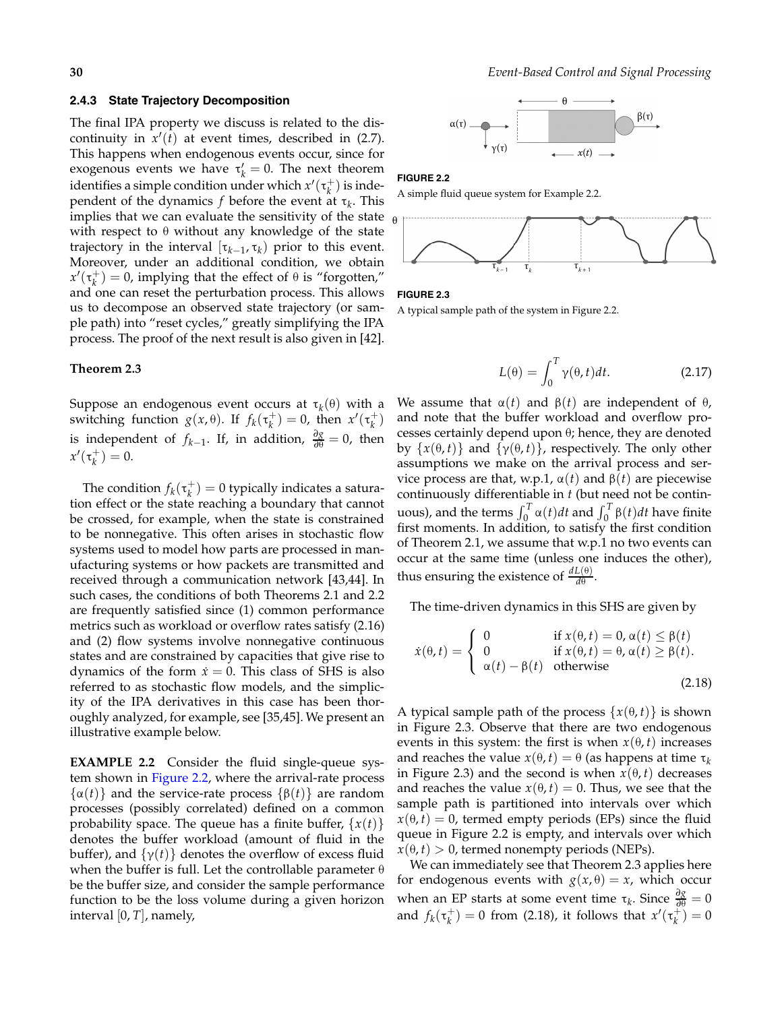#### **2.4.3 State Trajectory Decomposition**

The final IPA property we discuss is related to the discontinuity in  $x'(\tilde{t})$  at event times, described in (2.7). This happens when endogenous events occur, since for exogenous events we have  $\tau'_k = 0$ . The next theorem identifies a simple condition under which  $x'(\tau_k^+)$  is independent of the dynamics *f* before the event at  $\tau_k$ . This implies that we can evaluate the sensitivity of the state with respect to  $\theta$  without any knowledge of the state trajectory in the interval  $[\tau_{k-1}, \tau_k)$  prior to this event. Moreover, under an additional condition, we obtain  $x'(\tau_k^+) = 0$ , implying that the effect of  $\theta$  is "forgotten," and one can reset the perturbation process. This allows us to decompose an observed state trajectory (or sample path) into "reset cycles," greatly simplifying the IPA process. The proof of the next result is also given in [42].

#### **Theorem 2.3**

Suppose an endogenous event occurs at  $\tau_k(\theta)$  with a switching function *g*(*x*,  $\theta$ ). If  $f_k(\tau_k^+) = 0$ , then  $x'(\tau_k^+)$ is independent of  $f_{k-1}$ . If, in addition,  $\frac{\partial g}{\partial \theta} = 0$ , then  $x'(\tau_k^+) = 0.$ 

The condition  $f_k(\tau_k^+) = 0$  typically indicates a saturation effect or the state reaching a boundary that cannot be crossed, for example, when the state is constrained to be nonnegative. This often arises in stochastic flow systems used to model how parts are processed in manufacturing systems or how packets are transmitted and received through a communication network [43,44]. In such cases, the conditions of both Theorems 2.1 and 2.2 are frequently satisfied since (1) common performance metrics such as workload or overflow rates satisfy (2.16) and (2) flow systems involve nonnegative continuous states and are constrained by capacities that give rise to dynamics of the form  $\dot{x} = 0$ . This class of SHS is also referred to as stochastic flow models, and the simplicity of the IPA derivatives in this case has been thoroughly analyzed, for example, see [35,45]. We present an illustrative example below.

**EXAMPLE 2.2** Consider the fluid single-queue system shown in Figure 2.2, where the arrival-rate process  ${α(t)}$  and the service-rate process  ${β(t)}$  are random processes (possibly correlated) defined on a common probability space. The queue has a finite buffer,  $\{x(t)\}$ denotes the buffer workload (amount of fluid in the buffer), and  $\{\gamma(t)\}\$  denotes the overflow of excess fluid when the buffer is full. Let the controllable parameter  $\theta$ be the buffer size, and consider the sample performance function to be the loss volume during a given horizon interval [0, *T*], namely,

<span id="page-9-0"></span>**30** *Event-Based Control and Signal Processing*



**FIGURE 2.2**





#### **FIGURE 2.3**

A typical sample path of the system in Figure 2.2.

$$
L(\theta) = \int_0^T \gamma(\theta, t) dt.
$$
 (2.17)

We assume that  $\alpha(t)$  and  $\beta(t)$  are independent of θ, and note that the buffer workload and overflow processes certainly depend upon θ; hence, they are denoted by  $\{x(\theta, t)\}\$  and  $\{\gamma(\theta, t)\}\$ , respectively. The only other assumptions we make on the arrival process and service process are that, w.p.1, α(*t*) and β(*t*) are piecewise continuously differentiable in *t* (but need not be continuous), and the terms  $\int_0^T \alpha(t)dt$  and  $\int_0^T \beta(t)dt$  have finite first moments. In addition, to satisfy the first condition of Theorem 2.1, we assume that w.p.1 no two events can occur at the same time (unless one induces the other), thus ensuring the existence of  $\frac{dL(\theta)}{d\theta}$ .

The time-driven dynamics in this SHS are given by

$$
\dot{x}(\theta, t) = \begin{cases}\n0 & \text{if } x(\theta, t) = 0, \alpha(t) \le \beta(t) \\
0 & \text{if } x(\theta, t) = \theta, \alpha(t) \ge \beta(t). \\
\alpha(t) - \beta(t) & \text{otherwise}\n\end{cases}
$$
\n(2.18)

A typical sample path of the process  $\{x(\theta, t)\}\$ is shown in Figure 2.3. Observe that there are two endogenous events in this system: the first is when  $x(\theta, t)$  increases and reaches the value  $x(\theta, t) = \theta$  (as happens at time  $\tau_k$ in Figure 2.3) and the second is when  $x(\theta, t)$  decreases and reaches the value  $x(\theta, t) = 0$ . Thus, we see that the sample path is partitioned into intervals over which  $x(\theta, t) = 0$ , termed empty periods (EPs) since the fluid queue in Figure 2.2 is empty, and intervals over which  $x(\theta, t) > 0$ , termed nonempty periods (NEPs).

We can immediately see that Theorem 2.3 applies here for endogenous events with  $g(x, \theta) = x$ , which occur when an EP starts at some event time  $\tau_k$ . Since  $\frac{\partial g}{\partial \theta} = 0$ and  $f_k(\tau_k^+) = 0$  from (2.18), it follows that  $x'(\tau_k^+) = 0$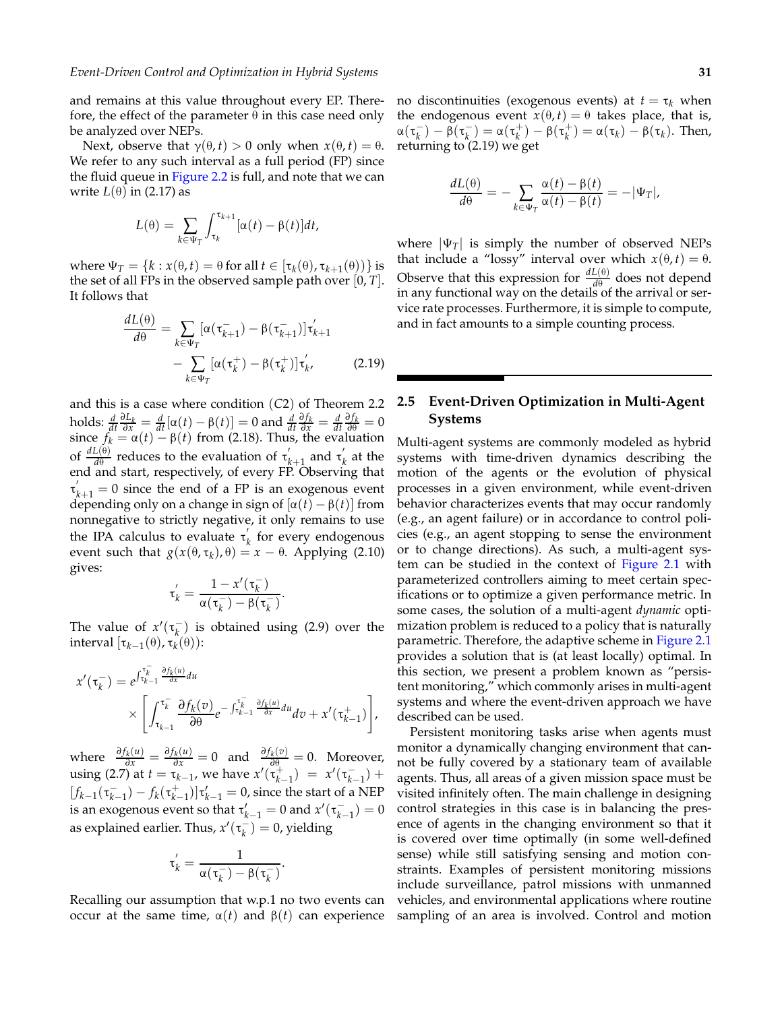and remains at this value throughout every EP. Therefore, the effect of the parameter  $\theta$  in this case need only be analy[zed over N](#page-9-0)EPs.

Next, observe that  $γ(θ, t) > 0$  only when  $x(θ, t) = θ$ . We refer to any such interval as a full period (FP) since the fluid queue in Figure 2.2 is full, and note that we can write  $L(\theta)$  in (2.17) as

$$
L(\theta) = \sum_{k \in \Psi_T} \int_{\tau_k}^{\tau_{k+1}} [\alpha(t) - \beta(t)] dt,
$$

where  $\Psi_T = \{k : x(\theta, t) = \theta \text{ for all } t \in [\tau_k(\theta), \tau_{k+1}(\theta))\}$  is the set of all FPs in the observed sample path over [0, *T*]. It follows that

$$
\frac{dL(\theta)}{d\theta} = \sum_{k \in \Psi_T} [\alpha(\tau_{k+1}^-) - \beta(\tau_{k+1}^-)] \tau_{k+1}' - \sum_{k \in \Psi_T} [\alpha(\tau_k^+) - \beta(\tau_k^+)] \tau_{k'}' \qquad (2.19)
$$

and this is a case where condition (*C*2) of Theorem 2.2 holds:  $\frac{d}{dt} \frac{\partial L_k}{\partial x} = \frac{d}{dt} [\alpha(t) - \beta(t)] = 0$  and  $\frac{d}{dt} \frac{\partial f_k}{\partial x} = \frac{d}{dt} \frac{\partial f_k}{\partial \theta} = 0$ since  $f_k = \alpha(t) - \beta(t)$  from (2.18). Thus, the evaluation of  $\frac{dL(\theta)}{d\theta}$  reduces to the evaluation of  $\tau'_{k+1}$  and  $\tau'_{k}$  at the end and start, respectively, of every FP. Observing that  $\tau_{k+1} = 0$  since the end of a FP is an exogenous event depending only on a change in sign of  $[\alpha(t) - \beta(t)]$  from nonnegative to strictly negative, it only remains to use the IPA calculus to evaluate  $\tau'_{k}$  for every endogenous event such that  $g(x(\theta, \tau_k), \theta) = x - \theta$ . Applying (2.10) gives:

$$
\tau_k' = \frac{1 - x'(\tau_k^-)}{\alpha(\tau_k^-) - \beta(\tau_k^-)}.
$$

The value of  $x'(\tau_k^-)$  is obtained using (2.9) over the interval [τ*k*−1(θ), τ*k*(θ)):

$$
x'(\tau_k^-) = e^{\int_{\tau_{k-1}}^{\tau_k^-} \frac{\partial f_k(u)}{\partial x} du}
$$
  
 
$$
\times \left[ \int_{\tau_{k-1}}^{\tau_k^-} \frac{\partial f_k(v)}{\partial \theta} e^{-\int_{\tau_{k-1}}^{\tau_k^-} \frac{\partial f_k(u)}{\partial x} du} dv + x'(\tau_{k-1}^+) \right],
$$

where  $\frac{\partial f_k(u)}{\partial x} = \frac{\partial f_k(u)}{\partial x} = 0$  and  $\frac{\partial f_k(v)}{\partial \theta} = 0$ . Moreover, using (2.7) at  $t = \tau_{k-1}$ , we have  $x'(\tau_{k-1}^+) = x'(\tau_{k-1}^-) +$  $[f_{k-1}(\tau_{k-1}^-) - f_k(\tau_{k-1}^+)] \tau_{k-1}' = 0$ , since the start of a NEP is an exogenous event so that  $\tau'_{k-1} = 0$  and  $x'(\tau_{k-1}^-) = 0$ as explained earlier. Thus,  $x'(\tau_k^-) = 0$ , yielding

$$
\tau_k' = \frac{1}{\alpha(\tau_k^-) - \beta(\tau_k^-)}.
$$

Recalling our assumption that w.p.1 no two events can occur at the same time, α(*t*) and β(*t*) can experience

no discontinuities (exogenous events) at  $t = \tau_k$  when the endogenous event  $x(\theta, t) = \theta$  takes place, that is,  $\alpha(\tau_k^-) - \beta(\tau_k^-) = \alpha(\tau_k^+) - \beta(\tau_k^+) = \alpha(\tau_k) - \beta(\tau_k)$ . Then, returning to (2.19) we get

$$
\frac{dL(\theta)}{d\theta} = -\sum_{k \in \Psi_T} \frac{\alpha(t) - \beta(t)}{\alpha(t) - \beta(t)} = -|\Psi_T|,
$$

where  $|\Psi_T|$  is simply the number of observed NEPs that include a "lossy" interval over which  $x(\theta, t) = \theta$ . Observe that this expression for  $\frac{dL(\theta)}{d\theta}$  does not depend in any functional way on the details of the arrival or service rate processes. Furthermore, it is simple to compute, and in fact amounts to a simple counting process.

## **2.5 Event-Driven Optimization in Multi-Agent Systems**

Multi-agent systems are commonly modeled as hybrid systems with time-driven dynamics describing the motion of the agents or the evolution of physical processes in a given environment, while event-driven behavior characterizes events that may occur randomly (e.g., an agent failure) or in a[ccordance t](#page-3-0)o control policies (e.g., an agent stopping to sense the environment or to change directions). As such, a multi-agent system can be studied in the context of Figure 2.1 with parameterized controllers aiming to meet certain specifications or to optimize a given per[formance m](#page-3-0)etric. In some cases, the solution of a multi-agent *dynamic* optimization problem is reduced to a policy that is naturally parametric. Therefore, the adaptive scheme in Figure 2.1 provides a solution that is (at least locally) optimal. In this section, we present a problem known as "persistent monitoring," which commonly arises in multi-agent systems and where the event-driven approach we have described can be used.

Persistent monitoring tasks arise when agents must monitor a dynamically changing environment that cannot be fully covered by a stationary team of available agents. Thus, all areas of a given mission space must be visited infinitely often. The main challenge in designing control strategies in this case is in balancing the presence of agents in the changing environment so that it is covered over time optimally (in some well-defined sense) while still satisfying sensing and motion constraints. Examples of persistent monitoring missions include surveillance, patrol missions with unmanned vehicles, and environmental applications where routine sampling of an area is involved. Control and motion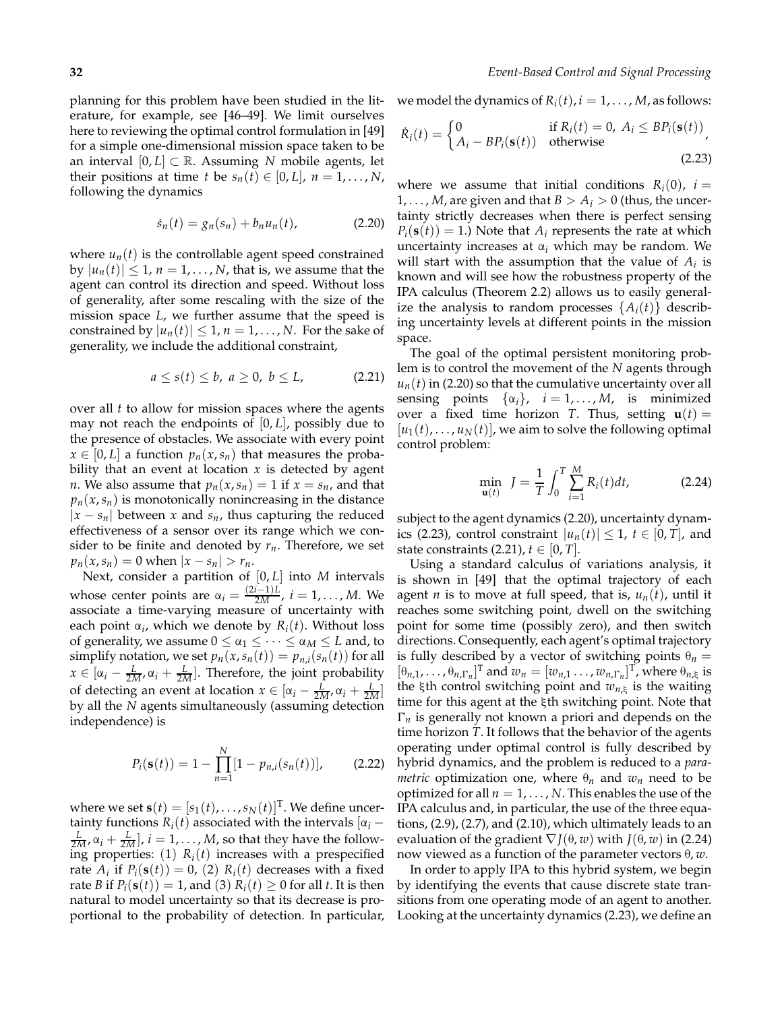planning for this problem have been studied in the literature, for example, see [46–49]. We limit ourselves here to reviewing the optimal control formulation in [49] for a simple one-dimensional mission space taken to be an interval [0, *L*] ⊂ R. Assuming *N* mobile agents, let their positions at time *t* be  $s_n(t) \in [0, L]$ ,  $n = 1, \ldots, N$ , following the dynamics

$$
\dot{s}_n(t) = g_n(s_n) + b_n u_n(t), \tag{2.20}
$$

where  $u_n(t)$  is the controllable agent speed constrained by  $|u_n(t)| \leq 1$ ,  $n = 1, \ldots, N$ , that is, we assume that the agent can control its direction and speed. Without loss of generality, after some rescaling with the size of the mission space *L*, we further assume that the speed is constrained by  $|u_n(t)| \leq 1$ ,  $n = 1, \ldots, N$ . For the sake of generality, we include the additional constraint,

$$
a \le s(t) \le b, \ a \ge 0, \ b \le L, \tag{2.21}
$$

over all *t* to allow for mission spaces where the agents may not reach the endpoints of [0, *L*], possibly due to the presence of obstacles. We associate with every point  $x \in [0, L]$  a function  $p_n(x, s_n)$  that measures the probability that an event at location  $x$  is detected by agent *n*. We also assume that  $p_n(x, s_n) = 1$  if  $x = s_n$ , and that  $p_n(x, s_n)$  is monotonically nonincreasing in the distance  $|x - s_n|$  between *x* and  $s_n$ , thus capturing the reduced effectiveness of a sensor over its range which we consider to be finite and denoted by  $r_n$ . Therefore, we set  $p_n(x, s_n) = 0$  when  $|x - s_n| > r_n$ .

Next, consider a partition of [0, *L*] into *M* intervals whose center points are  $\alpha_i = \frac{(2i-1)L}{2M}$ ,  $i = 1, ..., M$ . We associate a time-varying measure of uncertainty with each point  $\alpha_i$ , which we denote by  $R_i(t)$ . Without loss of generality, we assume  $0 \leq \alpha_1 \leq \cdots \leq \alpha_M \leq L$  and, to simplify notation, we set  $p_n(x, s_n(t)) = p_{n,i}(s_n(t))$  for all  $x \in [\alpha_i - \frac{L}{2M}, \alpha_i + \frac{L}{2M}]$ . Therefore, the joint probability of detecting an event at location  $x \in [\alpha_i - \frac{L}{2M}, \alpha_i + \frac{L}{2M}]$ by all the *N* agents simultaneously (assuming detection independence) is

$$
P_i(\mathbf{s}(t)) = 1 - \prod_{n=1}^{N} [1 - p_{n,i}(s_n(t))], \qquad (2.22)
$$

where we set  $\mathbf{s}(t)=[s_1(t),...,s_N(t)]^T$ . We define uncertainty functions  $R_i(t)$  associated with the intervals  $\left[\alpha_i - \alpha_i\right]$  $\frac{L}{2M}$ ,  $\alpha_i + \frac{L}{2M}$ ,  $i = 1, \ldots, M$ , so that they have the following properties: (1)  $R_i(t)$  increases with a prespecified rate  $A_i$  if  $P_i(\mathbf{s}(t)) = 0$ , (2)  $R_i(t)$  decreases with a fixed rate *B* if  $P_i(\mathbf{s}(t)) = 1$ , and (3)  $R_i(t) \geq 0$  for all *t*. It is then natural to model uncertainty so that its decrease is proportional to the probability of detection. In particular, we model the dynamics of  $R_i(t)$ ,  $i = 1, \ldots, M$ , as follows:

$$
\dot{R}_i(t) = \begin{cases} 0 & \text{if } R_i(t) = 0, \ A_i \le BP_i(\mathbf{s}(t)) \\ A_i - BP_i(\mathbf{s}(t)) & \text{otherwise} \end{cases}
$$
\n(2.23)

where we assume that initial conditions  $R_i(0)$ ,  $i =$ 1, ..., *M*, are given and that  $B > A_i > 0$  (thus, the uncertainty strictly decreases when there is perfect sensing  $P_i(\mathbf{s}(t)) = 1$ .) Note that  $A_i$  represents the rate at which uncertainty increases at  $\alpha_i$  which may be random. We will start with the assumption that the value of  $A_i$  is known and will see how the robustness property of the IPA calculus (Theorem 2.2) allows us to easily generalize the analysis to random processes  $\{A_i(t)\}\$  describing uncertainty levels at different points in the mission space.

The goal of the optimal persistent monitoring problem is to control the movement of the *N* agents through  $u_n(t)$  in (2.20) so that the cumulative uncertainty over all sensing points  $\{\alpha_i\}$ ,  $i = 1, ..., M$ , is minimized over a fixed time horizon *T*. Thus, setting  $\mathbf{u}(t) =$  $[u_1(t),...,u_N(t)]$ , we aim to solve the following optimal control problem:

$$
\min_{\mathbf{u}(t)} \ \ I = \frac{1}{T} \int_0^T \sum_{i=1}^M R_i(t) dt, \tag{2.24}
$$

subject to the agent dynamics (2.20), uncertainty dynamics (2.23), control constraint  $|u_n(t)| \leq 1$ ,  $t \in [0, T]$ , and state constraints  $(2.21)$ ,  $t \in [0, T]$ .

Using a standard calculus of variations analysis, it is shown in [49] that the optimal trajectory of each agent *n* is to move at full speed, that is,  $u_n(t)$ , until it reaches some switching point, dwell on the switching point for some time (possibly zero), and then switch directions. Consequently, each agent's optimal trajectory is fully described by a vector of switching points  $\theta_n =$  $[\theta_{n,1},\ldots,\theta_{n,\Gamma_n}]^{\text{T}}$  and  $w_n=[w_{n,1}\ldots,w_{n,\Gamma_n}]^{\text{T}}$ , where  $\theta_{n,\xi}$  is the  $\xi$ th control switching point and  $w_{n,\xi}$  is the waiting time for this agent at the ξth switching point. Note that Γ*<sup>n</sup>* is generally not known a priori and depends on the time horizon *T*. It follows that the behavior of the agents operating under optimal control is fully described by hybrid dynamics, and the problem is reduced to a *parametric* optimization one, where  $\theta_n$  and  $w_n$  need to be optimized for all  $n = 1, \ldots, N$ . This enables the use of the IPA calculus and, in particular, the use of the three equations, (2.9), (2.7), and (2.10), which ultimately leads to an evaluation of the gradient  $\nabla J(\theta, w)$  with  $J(\theta, w)$  in (2.24) now viewed as a function of the parameter vectors θ, *w*.

In order to apply IPA to this hybrid system, we begin by identifying the events that cause discrete state transitions from one operating mode of an agent to another. Looking at the uncertainty dynamics (2.23), we define an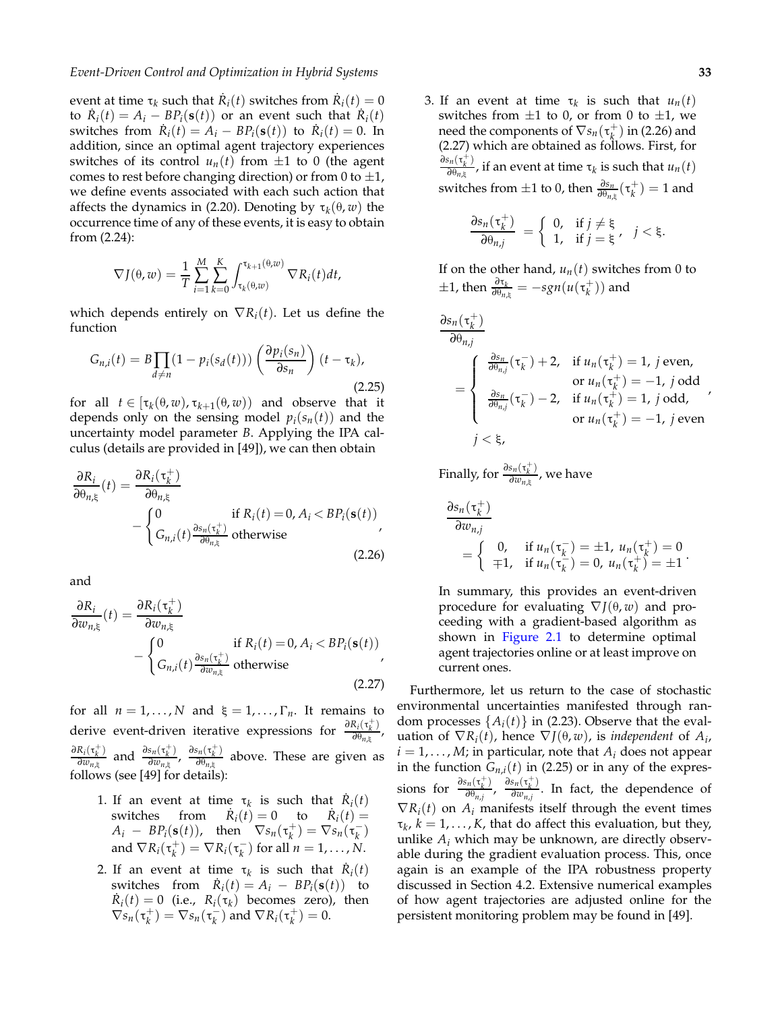#### *Event-Driven Control and Optimization in Hybrid Systems* **33**

event at time  $\tau_k$  such that  $\dot{R}_i(t)$  switches from  $\dot{R}_i(t) = 0$ to  $\dot{R}_i(t) = A_i - BP_i(\mathbf{s}(t))$  or an event such that  $R_i(t)$ switches from  $\dot{R}_i(t) = A_i - BP_i(\mathbf{s}(t))$  to  $\dot{R}_i(t) = 0$ . In addition, since an optimal agent trajectory experiences switches of its control  $u_n(t)$  from  $\pm 1$  to 0 (the agent comes to rest before changing direction) or from 0 to  $\pm 1$ , we define events associated with each such action that affects the dynamics in (2.20). Denoting by  $\tau_k(\theta, w)$  the occurrence time of any of these events, it is easy to obtain from (2.24):

$$
\nabla J(\theta, w) = \frac{1}{T} \sum_{i=1}^{M} \sum_{k=0}^{K} \int_{\tau_k(\theta, w)}^{\tau_{k+1}(\theta, w)} \nabla R_i(t) dt,
$$

which depends entirely on ∇*Ri*(*t*). Let us define the function

$$
G_{n,i}(t) = B \prod_{d \neq n} (1 - p_i(s_d(t))) \left( \frac{\partial p_i(s_n)}{\partial s_n} \right) (t - \tau_k),
$$
\n(2.25)

for all  $t \in [\tau_k(\theta, w), \tau_{k+1}(\theta, w))$  and observe that it depends only on the sensing model  $p_i(s_n(t))$  and the uncertainty model parameter *B*. Applying the IPA calculus (details are provided in [49]), we can then obtain

$$
\frac{\partial R_i}{\partial \theta_{n,\xi}}(t) = \frac{\partial R_i(\tau_k^+)}{\partial \theta_{n,\xi}}\n- \begin{cases}\n0 & \text{if } R_i(t) = 0, A_i < BP_i(\mathbf{s}(t)) \\
G_{n,i}(t) \frac{\partial s_n(\tau_k^+)}{\partial \theta_{n,\xi}} & \text{otherwise}\n\end{cases}\n\tag{2.26}
$$

and

$$
\frac{\partial R_i}{\partial w_{n,\xi}}(t) = \frac{\partial R_i(\tau_k^+)}{\partial w_{n,\xi}} \n- \begin{cases}\n0 & \text{if } R_i(t) = 0, A_i < BP_i(\mathbf{s}(t)) \\
G_{n,i}(t) \frac{\partial s_n(\tau_k^+)}{\partial w_{n,\xi}} & \text{otherwise}\n\end{cases}
$$
\n(2.27)

for all  $n = 1, ..., N$  and  $\xi = 1, ..., \Gamma_n$ . It remains to derive event-driven iterative expressions for  $\frac{\partial R_i(\tau_k^+)}{\partial \theta_{n,k}}$ ,  $∂R<sub>i</sub>(τ<sub>k</sub><sup>+</sup>)$  $\frac{R_i(\tau^+_k)}{\partial w_{n,k}}$  and  $\frac{\partial s_n(\tau^+_k)}{\partial w_{n,k}}$ ,  $\frac{\partial s_n(\tau^+_k)}{\partial \theta_{n,k}}$  above. These are given as follows (see [49] for details):

- 1. If an event at time  $\tau_k$  is such that  $\dot{R}_i(t)$ switches from  $\dot{R}_i(t) = 0$  to  $\dot{R}_i(t) =$  $A_i - BP_i(\mathbf{s}(t)), \text{ then } \nabla s_n(\tau_k^+) = \nabla s_n(\tau_k^-)$ and  $\nabla R_i(\tau_k^+) = \nabla R_i(\tau_k^-)$  for all  $n = 1, \ldots, N$ .
- 2. If an event at time  $\tau_k$  is such that  $R_i(t)$ switches from  $\dot{R}_i(t) = A_i - BP_i(\mathbf{s}(t))$  to  $\dot{R}_i(t) = 0$  (i.e.,  $R_i(\tau_k)$  becomes zero), then  $\nabla s_n(\tau_k^+) = \nabla s_n(\tau_k^-)$  and  $\nabla R_i(\tau_k^+) = 0$ .

3. If an event at time  $\tau_k$  is such that  $u_n(t)$ switches from  $\pm 1$  to 0, or from 0 to  $\pm 1$ , we need the components of  $\nabla s_n(\tau_k^+)$  in (2.26) and (2.27) which are obtained as follows. First, for  $\frac{\partial s_n(\tau_k^+)}{\partial \theta_{n,\xi}}$ , if an event at time  $\tau_k$  is such that  $u_n(t)$ switches from  $\pm 1$  to 0, then  $\frac{\partial s_n}{\partial \theta_{n,\xi}}(\tau_k^+)=1$  and

$$
\frac{\partial s_n(\tau_k^+)}{\partial \theta_{n,j}} = \begin{cases} 0, & \text{if } j \neq \xi \\ 1, & \text{if } j = \xi \end{cases}, \quad j < \xi.
$$

If on the other hand,  $u_n(t)$  switches from 0 to  $\pm 1$ , then  $\frac{\partial \tau_k}{\partial \theta_{n,k}} = -sgn(u(\tau_k^+))$  and

$$
\frac{\partial s_n(\tau_k^+)}{\partial \theta_{n,j}}\n= \n\begin{cases}\n\frac{\partial s_n}{\partial \theta_{n,j}}(\tau_k^-) + 2, & \text{if } u_n(\tau_k^+) = 1, \text{ } j \text{ even}, \\
\frac{\partial s_n}{\partial \theta_{n,j}}(\tau_k^-) - 2, & \text{if } u_n(\tau_k^+) = 1, \text{ } j \text{ odd}, \\
\text{or } u_n(\tau_k^+) = 1, \text{ } j \text{ odd}, \\
\text{or } u_n(\tau_k^+) = -1, \text{ } j \text{ even}\n\end{cases}
$$

Finally, for 
$$
\frac{\partial s_n(\tau_k^+)}{\partial w_{n,\xi}}
$$
, we have

$$
\frac{\partial s_n(\tau_k^+)}{\partial w_{n,j}} = \begin{cases} 0, & \text{if } u_n(\tau_k^-) = \pm 1, u_n(\tau_k^+) = 0 \\ \mp 1, & \text{if } u_n(\tau_k^-) = 0, u_n(\tau_k^+) = \pm 1 \end{cases}.
$$

I[n summary](#page-3-0), this provides an event-driven procedure for evaluating ∇*J*(θ, *w*) and proceeding with a gradient-based algorithm as shown in Figure 2.1 to determine optimal agent trajectories online or at least improve on current ones.

Furthermore, let us return to the case of stochastic environmental uncertainties manifested through random processes  $\{A_i(t)\}\$ in (2.23). Observe that the evaluation of  $\nabla R_i(t)$ , hence  $\nabla J(\theta, w)$ , is *independent* of  $A_i$ ,  $i = 1, \ldots, M$ ; in particular, note that  $A_i$  does not appear in the function  $G_{n,i}(t)$  in (2.25) or in any of the expressions for  $\frac{\partial s_n(\tau_k^+)}{\partial \theta_{n,j}}$ ,  $\frac{\partial s_n(\tau_k^+)}{\partial w_{n,j}}$ . In fact, the dependence of  $\nabla R_i(t)$  on  $A_i$  manifests itself through the event times  $\tau_k$ ,  $k = 1, \ldots, K$ , that do affect this evaluation, but they, unlike *Ai* which may be unknown, are directly observable during the gradient evaluation process. This, once again is an example of the IPA robustness property discussed in Section 4.2. Extensive numerical examples of how agent trajectories are adjusted online for the persistent monitoring problem may be found in [49].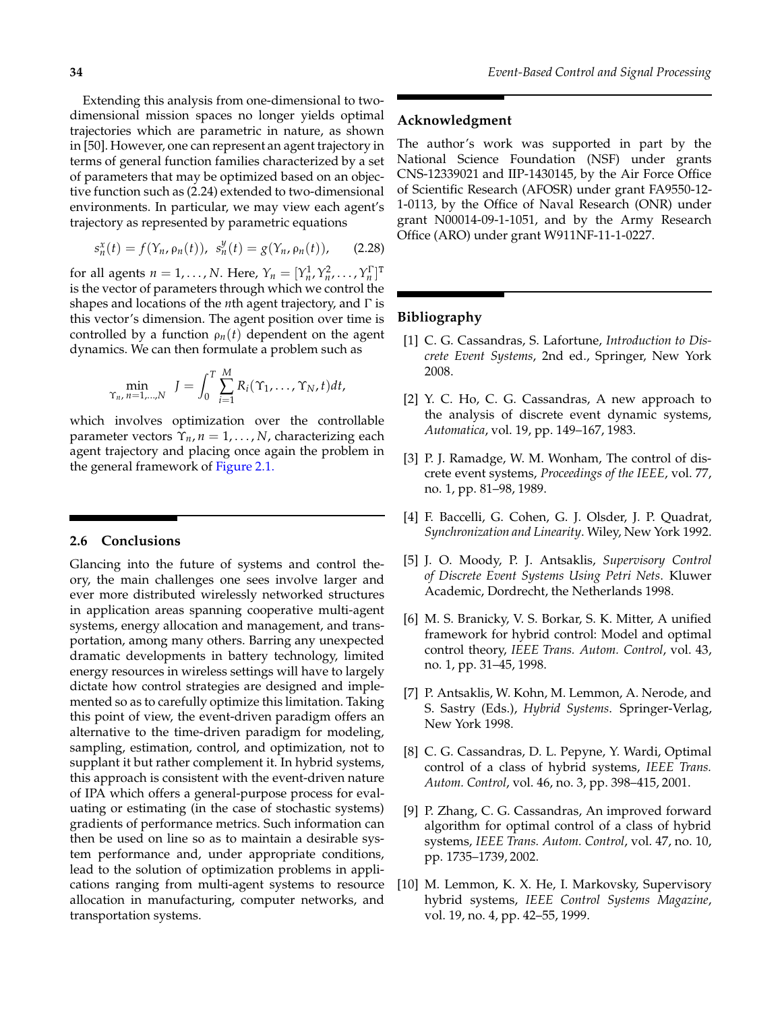Extending this analysis from one-dimensional to twodimensional mission spaces no longer yields optimal trajectories which are parametric in nature, as shown in [50]. However, one can represent an agent trajectory in terms of general function families characterized by a set of parameters that may be optimized based on an objective function such as (2.24) extended to two-dimensional environments. In particular, we may view each agent's trajectory as represented by parametric equations

$$
s_n^x(t) = f(Y_n, \rho_n(t)), \ s_n^y(t) = g(Y_n, \rho_n(t)), \qquad (2.28)
$$

for all agents  $n = 1, ..., N$ . Here,  $Y_n = [Y_n^1, Y_n^2, ..., Y_n^T]^T$ is the vector of parameters through which we control the shapes and locations of the *n*th agent trajectory, and Γ is this vector's dimension. The agent position over time is controlled by a function  $\rho_n(t)$  dependent on the agent dynamics. We can then formulate a problem such as

$$
\min_{\Upsilon_n, n=1,\dots,N} \quad J = \int_0^T \sum_{i=1}^M R_i(\Upsilon_1,\dots,\Upsilon_N,t) dt,
$$

which involve[s optimiza](#page-3-0)tion over the controllable parameter vectors  $\Upsilon_n$ ,  $n = 1, \ldots, N$ , characterizing each agent trajectory and placing once again the problem in the general framework of Figure 2.1.

#### **2.6 Conclusions**

Glancing into the future of systems and control theory, the main challenges one sees involve larger and ever more distributed wirelessly networked structures in application areas spanning cooperative multi-agent systems, energy allocation and management, and transportation, among many others. Barring any unexpected dramatic developments in battery technology, limited energy resources in wireless settings will have to largely dictate how control strategies are designed and implemented so as to carefully optimize this limitation. Taking this point of view, the event-driven paradigm offers an alternative to the time-driven paradigm for modeling, sampling, estimation, control, and optimization, not to supplant it but rather complement it. In hybrid systems, this approach is consistent with the event-driven nature of IPA which offers a general-purpose process for evaluating or estimating (in the case of stochastic systems) gradients of performance metrics. Such information can then be used on line so as to maintain a desirable system performance and, under appropriate conditions, lead to the solution of optimization problems in applications ranging from multi-agent systems to resource allocation in manufacturing, computer networks, and transportation systems.

#### **Acknowledgment**

The author's work was supported in part by the National Science Foundation (NSF) under grants CNS-12339021 and IIP-1430145, by the Air Force Office of Scientific Research (AFOSR) under grant FA9550-12- 1-0113, by the Office of Naval Research (ONR) under grant N00014-09-1-1051, and by the Army Research Office (ARO) under grant W911NF-11-1-0227.

### **Bibliography**

- [1] C. G. Cassandras, S. Lafortune, *Introduction to Discrete Event Systems*, 2nd ed., Springer, New York 2008.
- [2] Y. C. Ho, C. G. Cassandras, A new approach to the analysis of discrete event dynamic systems, *Automatica*, vol. 19, pp. 149–167, 1983.
- [3] P. J. Ramadge, W. M. Wonham, The control of discrete event systems, *Proceedings of the IEEE*, vol. 77, no. 1, pp. 81–98, 1989.
- [4] F. Baccelli, G. Cohen, G. J. Olsder, J. P. Quadrat, *Synchronization and Linearity*. Wiley, New York 1992.
- [5] J. O. Moody, P. J. Antsaklis, *Supervisory Control of Discrete Event Systems Using Petri Nets*. Kluwer Academic, Dordrecht, the Netherlands 1998.
- [6] M. S. Branicky, V. S. Borkar, S. K. Mitter, A unified framework for hybrid control: Model and optimal control theory, *IEEE Trans. Autom. Control*, vol. 43, no. 1, pp. 31–45, 1998.
- [7] P. Antsaklis, W. Kohn, M. Lemmon, A. Nerode, and S. Sastry (Eds.), *Hybrid Systems*. Springer-Verlag, New York 1998.
- [8] C. G. Cassandras, D. L. Pepyne, Y. Wardi, Optimal control of a class of hybrid systems, *IEEE Trans. Autom. Control*, vol. 46, no. 3, pp. 398–415, 2001.
- [9] P. Zhang, C. G. Cassandras, An improved forward algorithm for optimal control of a class of hybrid systems, *IEEE Trans. Autom. Control*, vol. 47, no. 10, pp. 1735–1739, 2002.
- [10] M. Lemmon, K. X. He, I. Markovsky, Supervisory hybrid systems, *IEEE Control Systems Magazine*, vol. 19, no. 4, pp. 42–55, 1999.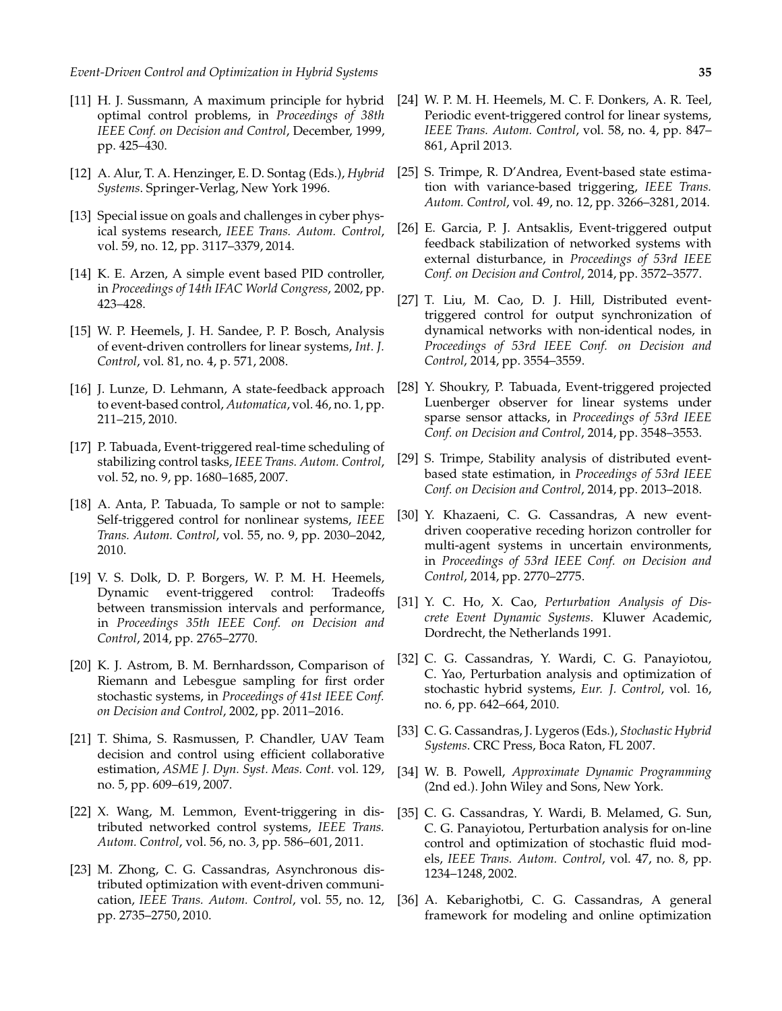- [11] H. J. Sussmann, A maximum principle for hybrid optimal control problems, in *Proceedings of 38th IEEE Conf. on Decision and Control*, December, 1999, pp. 425–430.
- [12] A. Alur, T. A. Henzinger, E. D. Sontag (Eds.), *Hybrid Systems*. Springer-Verlag, New York 1996.
- [13] Special issue on goals and challenges in cyber physical systems research, *IEEE Trans. Autom. Control*, vol. 59, no. 12, pp. 3117–3379, 2014.
- [14] K. E. Arzen, A simple event based PID controller, in *Proceedings of 14th IFAC World Congress*, 2002, pp. 423–428.
- [15] W. P. Heemels, J. H. Sandee, P. P. Bosch, Analysis of event-driven controllers for linear systems, *Int. J. Control*, vol. 81, no. 4, p. 571, 2008.
- [16] J. Lunze, D. Lehmann, A state-feedback approach to event-based control, *Automatica*, vol. 46, no. 1, pp. 211–215, 2010.
- [17] P. Tabuada, Event-triggered real-time scheduling of stabilizing control tasks, *IEEE Trans. Autom. Control*, vol. 52, no. 9, pp. 1680–1685, 2007.
- [18] A. Anta, P. Tabuada, To sample or not to sample: Self-triggered control for nonlinear systems, *IEEE Trans. Autom. Control*, vol. 55, no. 9, pp. 2030–2042, 2010.
- [19] V. S. Dolk, D. P. Borgers, W. P. M. H. Heemels, Dynamic event-triggered control: Tradeoffs between transmission intervals and performance, in *Proceedings 35th IEEE Conf. on Decision and Control*, 2014, pp. 2765–2770.
- [20] K. J. Astrom, B. M. Bernhardsson, Comparison of Riemann and Lebesgue sampling for first order stochastic systems, in *Proceedings of 41st IEEE Conf. on Decision and Control*, 2002, pp. 2011–2016.
- [21] T. Shima, S. Rasmussen, P. Chandler, UAV Team decision and control using efficient collaborative estimation, *ASME J. Dyn. Syst. Meas. Cont.* vol. 129, no. 5, pp. 609–619, 2007.
- [22] X. Wang, M. Lemmon, Event-triggering in distributed networked control systems, *IEEE Trans. Autom. Control*, vol. 56, no. 3, pp. 586–601, 2011.
- [23] M. Zhong, C. G. Cassandras, Asynchronous distributed optimization with event-driven communication, *IEEE Trans. Autom. Control*, vol. 55, no. 12, pp. 2735–2750, 2010.
- [24] W. P. M. H. Heemels, M. C. F. Donkers, A. R. Teel, Periodic event-triggered control for linear systems, *IEEE Trans. Autom. Control*, vol. 58, no. 4, pp. 847– 861, April 2013.
- [25] S. Trimpe, R. D'Andrea, Event-based state estimation with variance-based triggering, *IEEE Trans. Autom. Control*, vol. 49, no. 12, pp. 3266–3281, 2014.
- [26] E. Garcia, P. J. Antsaklis, Event-triggered output feedback stabilization of networked systems with external disturbance, in *Proceedings of 53rd IEEE Conf. on Decision and Control*, 2014, pp. 3572–3577.
- [27] T. Liu, M. Cao, D. J. Hill, Distributed eventtriggered control for output synchronization of dynamical networks with non-identical nodes, in *Proceedings of 53rd IEEE Conf. on Decision and Control*, 2014, pp. 3554–3559.
- [28] Y. Shoukry, P. Tabuada, Event-triggered projected Luenberger observer for linear systems under sparse sensor attacks, in *Proceedings of 53rd IEEE Conf. on Decision and Control*, 2014, pp. 3548–3553.
- [29] S. Trimpe, Stability analysis of distributed eventbased state estimation, in *Proceedings of 53rd IEEE Conf. on Decision and Control*, 2014, pp. 2013–2018.
- [30] Y. Khazaeni, C. G. Cassandras, A new eventdriven cooperative receding horizon controller for multi-agent systems in uncertain environments, in *Proceedings of 53rd IEEE Conf. on Decision and Control*, 2014, pp. 2770–2775.
- [31] Y. C. Ho, X. Cao, *Perturbation Analysis of Discrete Event Dynamic Systems*. Kluwer Academic, Dordrecht, the Netherlands 1991.
- [32] C. G. Cassandras, Y. Wardi, C. G. Panayiotou, C. Yao, Perturbation analysis and optimization of stochastic hybrid systems, *Eur. J. Control*, vol. 16, no. 6, pp. 642–664, 2010.
- [33] C. G. Cassandras, J. Lygeros (Eds.), *Stochastic Hybrid Systems*. CRC Press, Boca Raton, FL 2007.
- [34] W. B. Powell, *Approximate Dynamic Programming* (2nd ed.). John Wiley and Sons, New York.
- [35] C. G. Cassandras, Y. Wardi, B. Melamed, G. Sun, C. G. Panayiotou, Perturbation analysis for on-line control and optimization of stochastic fluid models, *IEEE Trans. Autom. Control*, vol. 47, no. 8, pp. 1234–1248, 2002.
- [36] A. Kebarighotbi, C. G. Cassandras, A general framework for modeling and online optimization